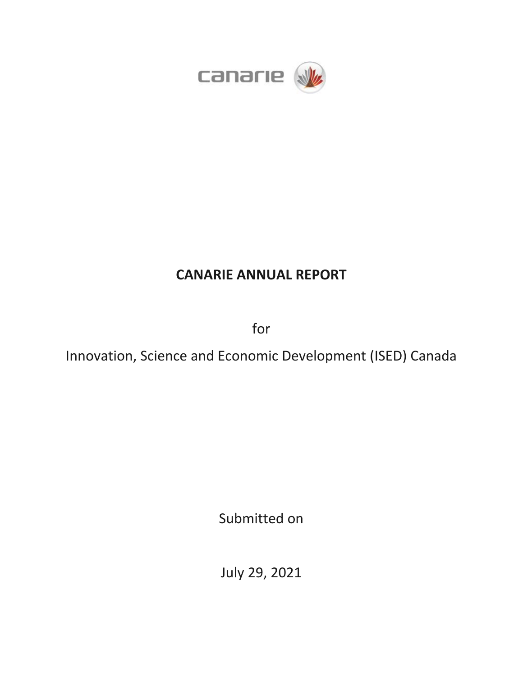

# **CANARIE ANNUAL REPORT**

for

Innovation, Science and Economic Development (ISED) Canada

Submitted on

July 29, 2021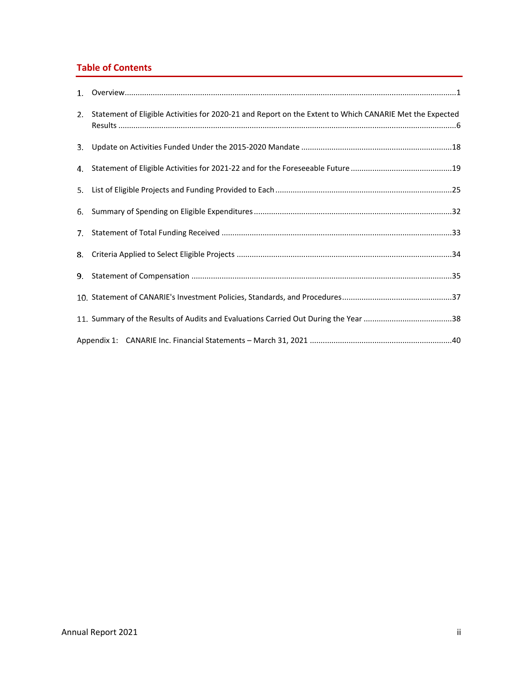## **Table of Contents**

| 2. Statement of Eligible Activities for 2020-21 and Report on the Extent to Which CANARIE Met the Expected |
|------------------------------------------------------------------------------------------------------------|
|                                                                                                            |
|                                                                                                            |
|                                                                                                            |
|                                                                                                            |
|                                                                                                            |
|                                                                                                            |
|                                                                                                            |
|                                                                                                            |
|                                                                                                            |
|                                                                                                            |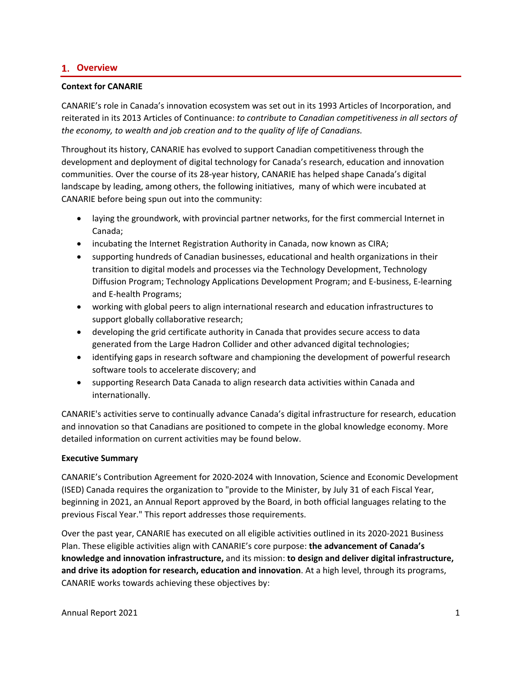## <span id="page-2-0"></span>**Overview**

#### **Context for CANARIE**

CANARIE's role in Canada's innovation ecosystem was set out in its 1993 Articles of Incorporation, and reiterated in its 2013 Articles of Continuance: *to contribute to Canadian competitiveness in all sectors of the economy, to wealth and job creation and to the quality of life of Canadians.*

Throughout its history, CANARIE has evolved to support Canadian competitiveness through the development and deployment of digital technology for Canada's research, education and innovation communities. Over the course of its 28-year history, CANARIE has helped shape Canada's digital landscape by leading, among others, the following initiatives, many of which were incubated at CANARIE before being spun out into the community:

- laying the groundwork, with provincial partner networks, for the first commercial Internet in Canada;
- incubating the Internet Registration Authority in Canada, now known as CIRA;
- supporting hundreds of Canadian businesses, educational and health organizations in their transition to digital models and processes via the Technology Development, Technology Diffusion Program; Technology Applications Development Program; and E-business, E-learning and E-health Programs;
- working with global peers to align international research and education infrastructures to support globally collaborative research;
- developing the grid certificate authority in Canada that provides secure access to data generated from the Large Hadron Collider and other advanced digital technologies;
- identifying gaps in research software and championing the development of powerful research software tools to accelerate discovery; and
- supporting Research Data Canada to align research data activities within Canada and internationally.

CANARIE's activities serve to continually advance Canada's digital infrastructure for research, education and innovation so that Canadians are positioned to compete in the global knowledge economy. More detailed information on current activities may be found below.

#### **Executive Summary**

CANARIE's Contribution Agreement for 2020-2024 with Innovation, Science and Economic Development (ISED) Canada requires the organization to "provide to the Minister, by July 31 of each Fiscal Year, beginning in 2021, an Annual Report approved by the Board, in both official languages relating to the previous Fiscal Year." This report addresses those requirements.

Over the past year, CANARIE has executed on all eligible activities outlined in its 2020-2021 Business Plan. These eligible activities align with CANARIE's core purpose: **the advancement of Canada's knowledge and innovation infrastructure,** and its mission: **to design and deliver digital infrastructure, and drive its adoption for research, education and innovation**. At a high level, through its programs, CANARIE works towards achieving these objectives by: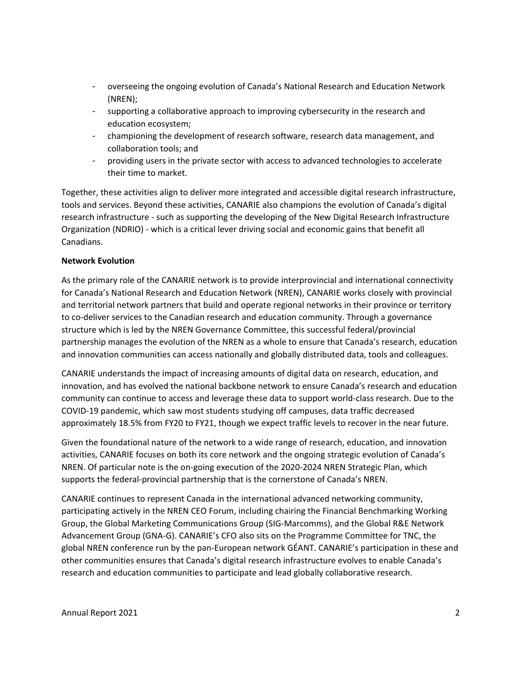- overseeing the ongoing evolution of Canada's National Research and Education Network (NREN);
- supporting a collaborative approach to improving cybersecurity in the research and education ecosystem;
- championing the development of research software, research data management, and collaboration tools; and
- providing users in the private sector with access to advanced technologies to accelerate their time to market.

Together, these activities align to deliver more integrated and accessible digital research infrastructure, tools and services. Beyond these activities, CANARIE also champions the evolution of Canada's digital research infrastructure - such as supporting the developing of the New Digital Research Infrastructure Organization (NDRIO) - which is a critical lever driving social and economic gains that benefit all Canadians.

#### **Network Evolution**

As the primary role of the CANARIE network is to provide interprovincial and international connectivity for Canada's National Research and Education Network (NREN), CANARIE works closely with provincial and territorial network partners that build and operate regional networks in their province or territory to co-deliver services to the Canadian research and education community. Through a governance structure which is led by the NREN Governance Committee, this successful federal/provincial partnership manages the evolution of the NREN as a whole to ensure that Canada's research, education and innovation communities can access nationally and globally distributed data, tools and colleagues.

CANARIE understands the impact of increasing amounts of digital data on research, education, and innovation, and has evolved the national backbone network to ensure Canada's research and education community can continue to access and leverage these data to support world-class research. Due to the COVID-19 pandemic, which saw most students studying off campuses, data traffic decreased approximately 18.5% from FY20 to FY21, though we expect traffic levels to recover in the near future.

Given the foundational nature of the network to a wide range of research, education, and innovation activities, CANARIE focuses on both its core network and the ongoing strategic evolution of Canada's NREN. Of particular note is the on-going execution of the 2020-2024 NREN Strategic Plan, which supports the federal-provincial partnership that is the cornerstone of Canada's NREN.

CANARIE continues to represent Canada in the international advanced networking community, participating actively in the NREN CEO Forum, including chairing the Financial Benchmarking Working Group, the Global Marketing Communications Group (SIG-Marcomms), and the Global R&E Network Advancement Group (GNA-G). CANARIE's CFO also sits on the Programme Committee for TNC, the global NREN conference run by the pan-European network GÉANT. CANARIE's participation in these and other communities ensures that Canada's digital research infrastructure evolves to enable Canada's research and education communities to participate and lead globally collaborative research.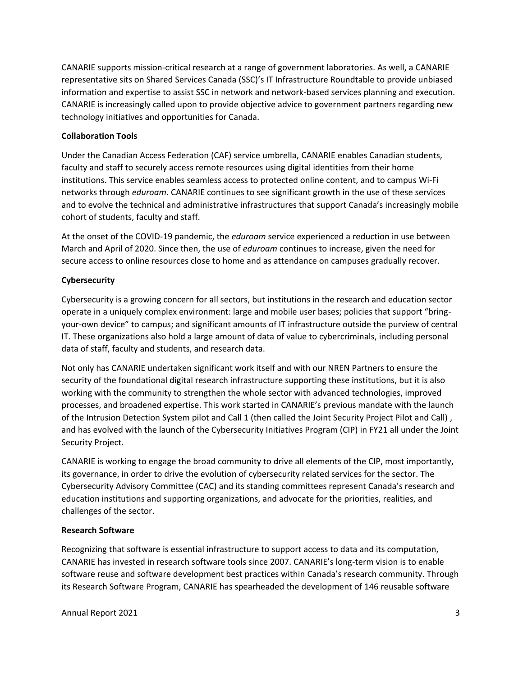CANARIE supports mission-critical research at a range of government laboratories. As well, a CANARIE representative sits on Shared Services Canada (SSC)'s IT Infrastructure Roundtable to provide unbiased information and expertise to assist SSC in network and network-based services planning and execution. CANARIE is increasingly called upon to provide objective advice to government partners regarding new technology initiatives and opportunities for Canada.

#### **Collaboration Tools**

Under the Canadian Access Federation (CAF) service umbrella, CANARIE enables Canadian students, faculty and staff to securely access remote resources using digital identities from their home institutions. This service enables seamless access to protected online content, and to campus Wi-Fi networks through *eduroam*. CANARIE continues to see significant growth in the use of these services and to evolve the technical and administrative infrastructures that support Canada's increasingly mobile cohort of students, faculty and staff.

At the onset of the COVID-19 pandemic, the *eduroam* service experienced a reduction in use between March and April of 2020. Since then, the use of *eduroam* continues to increase, given the need for secure access to online resources close to home and as attendance on campuses gradually recover.

#### **Cybersecurity**

Cybersecurity is a growing concern for all sectors, but institutions in the research and education sector operate in a uniquely complex environment: large and mobile user bases; policies that support "bringyour-own device" to campus; and significant amounts of IT infrastructure outside the purview of central IT. These organizations also hold a large amount of data of value to cybercriminals, including personal data of staff, faculty and students, and research data.

Not only has CANARIE undertaken significant work itself and with our NREN Partners to ensure the security of the foundational digital research infrastructure supporting these institutions, but it is also working with the community to strengthen the whole sector with advanced technologies, improved processes, and broadened expertise. This work started in CANARIE's previous mandate with the launch of the Intrusion Detection System pilot and Call 1 (then called the Joint Security Project Pilot and Call) , and has evolved with the launch of the Cybersecurity Initiatives Program (CIP) in FY21 all under the Joint Security Project.

CANARIE is working to engage the broad community to drive all elements of the CIP, most importantly, its governance, in order to drive the evolution of cybersecurity related services for the sector. The Cybersecurity Advisory Committee (CAC) and its standing committees represent Canada's research and education institutions and supporting organizations, and advocate for the priorities, realities, and challenges of the sector.

#### **Research Software**

Recognizing that software is essential infrastructure to support access to data and its computation, CANARIE has invested in research software tools since 2007. CANARIE's long-term vision is to enable software reuse and software development best practices within Canada's research community. Through its Research Software Program, CANARIE has spearheaded the development of 146 reusable software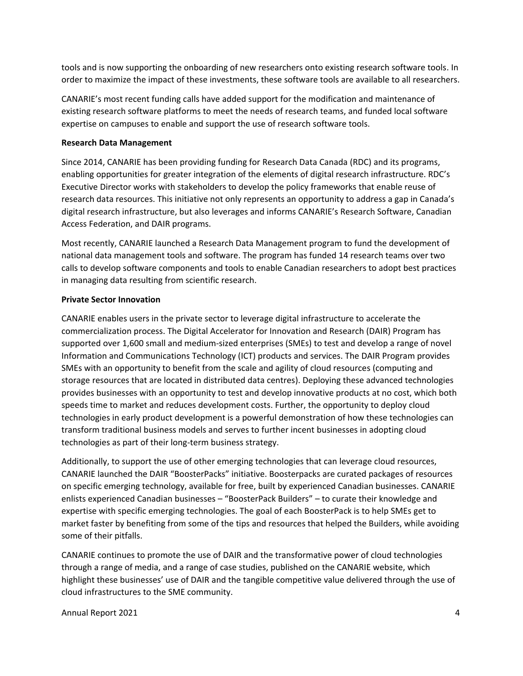tools and is now supporting the onboarding of new researchers onto existing research software tools. In order to maximize the impact of these investments, these software tools are available to all researchers.

CANARIE's most recent funding calls have added support for the modification and maintenance of existing research software platforms to meet the needs of research teams, and funded local software expertise on campuses to enable and support the use of research software tools.

#### **Research Data Management**

Since 2014, CANARIE has been providing funding for Research Data Canada (RDC) and its programs, enabling opportunities for greater integration of the elements of digital research infrastructure. RDC's Executive Director works with stakeholders to develop the policy frameworks that enable reuse of research data resources. This initiative not only represents an opportunity to address a gap in Canada's digital research infrastructure, but also leverages and informs CANARIE's Research Software, Canadian Access Federation, and DAIR programs.

Most recently, CANARIE launched a Research Data Management program to fund the development of national data management tools and software. The program has funded 14 research teams over two calls to develop software components and tools to enable Canadian researchers to adopt best practices in managing data resulting from scientific research.

#### **Private Sector Innovation**

CANARIE enables users in the private sector to leverage digital infrastructure to accelerate the commercialization process. The Digital Accelerator for Innovation and Research (DAIR) Program has supported over 1,600 small and medium-sized enterprises (SMEs) to test and develop a range of novel Information and Communications Technology (ICT) products and services. The DAIR Program provides SMEs with an opportunity to benefit from the scale and agility of cloud resources (computing and storage resources that are located in distributed data centres). Deploying these advanced technologies provides businesses with an opportunity to test and develop innovative products at no cost, which both speeds time to market and reduces development costs. Further, the opportunity to deploy cloud technologies in early product development is a powerful demonstration of how these technologies can transform traditional business models and serves to further incent businesses in adopting cloud technologies as part of their long-term business strategy.

Additionally, to support the use of other emerging technologies that can leverage cloud resources, CANARIE launched the DAIR "BoosterPacks" initiative. Boosterpacks are curated packages of resources on specific emerging technology, available for free, built by experienced Canadian businesses. CANARIE enlists experienced Canadian businesses – "BoosterPack Builders" – to curate their knowledge and expertise with specific emerging technologies. The goal of each BoosterPack is to help SMEs get to market faster by benefiting from some of the tips and resources that helped the Builders, while avoiding some of their pitfalls.

CANARIE continues to promote the use of DAIR and the transformative power of cloud technologies through a range of media, and a range of case studies, published on the CANARIE website, which highlight these businesses' use of DAIR and the tangible competitive value delivered through the use of cloud infrastructures to the SME community.

Annual Report 2021 4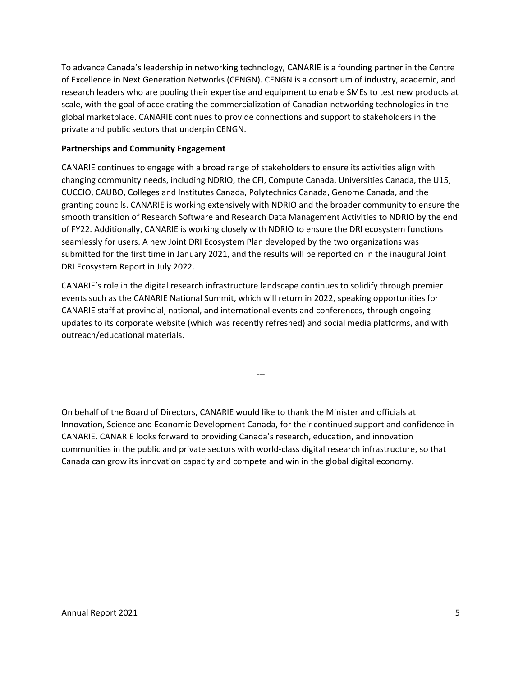To advance Canada's leadership in networking technology, CANARIE is a founding partner in the Centre of Excellence in Next Generation Networks (CENGN). CENGN is a consortium of industry, academic, and research leaders who are pooling their expertise and equipment to enable SMEs to test new products at scale, with the goal of accelerating the commercialization of Canadian networking technologies in the global marketplace. CANARIE continues to provide connections and support to stakeholders in the private and public sectors that underpin CENGN.

#### **Partnerships and Community Engagement**

CANARIE continues to engage with a broad range of stakeholders to ensure its activities align with changing community needs, including NDRIO, the CFI, Compute Canada, Universities Canada, the U15, CUCCIO, CAUBO, Colleges and Institutes Canada, Polytechnics Canada, Genome Canada, and the granting councils. CANARIE is working extensively with NDRIO and the broader community to ensure the smooth transition of Research Software and Research Data Management Activities to NDRIO by the end of FY22. Additionally, CANARIE is working closely with NDRIO to ensure the DRI ecosystem functions seamlessly for users. A new Joint DRI Ecosystem Plan developed by the two organizations was submitted for the first time in January 2021, and the results will be reported on in the inaugural Joint DRI Ecosystem Report in July 2022.

CANARIE's role in the digital research infrastructure landscape continues to solidify through premier events such as the CANARIE National Summit, which will return in 2022, speaking opportunities for CANARIE staff at provincial, national, and international events and conferences, through ongoing updates to its corporate website (which was recently refreshed) and social media platforms, and with outreach/educational materials.

On behalf of the Board of Directors, CANARIE would like to thank the Minister and officials at Innovation, Science and Economic Development Canada, for their continued support and confidence in CANARIE. CANARIE looks forward to providing Canada's research, education, and innovation communities in the public and private sectors with world-class digital research infrastructure, so that Canada can grow its innovation capacity and compete and win in the global digital economy.

---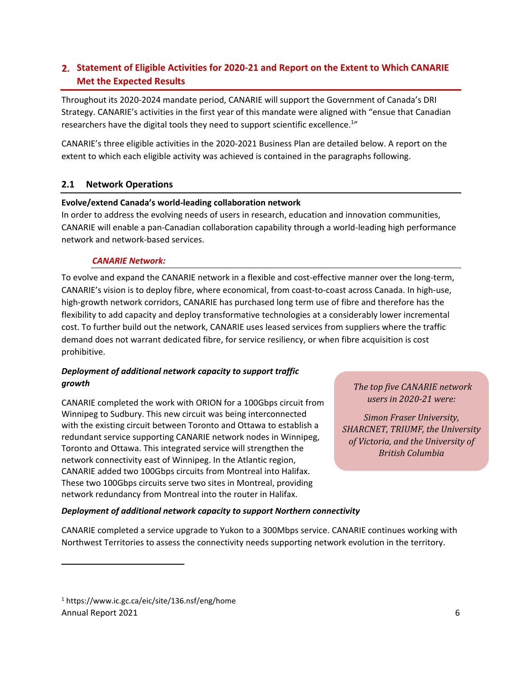## <span id="page-7-0"></span>**Statement of Eligible Activities for 2020-21 and Report on the Extent to Which CANARIE Met the Expected Results**

Throughout its 2020-2024 mandate period, CANARIE will support the Government of Canada's DRI Strategy. CANARIE's activities in the first year of this mandate were aligned with "ensue that Canadian researchers have the digital tools they need to support scientific excellence.<sup>1</sup>"

CANARIE's three eligible activities in the 2020-2021 Business Plan are detailed below. A report on the extent to which each eligible activity was achieved is contained in the paragraphs following.

## **2.1 Network Operations**

#### **Evolve/extend Canada's world-leading collaboration network**

In order to address the evolving needs of users in research, education and innovation communities, CANARIE will enable a pan-Canadian collaboration capability through a world-leading high performance network and network-based services.

#### *CANARIE Network:*

To evolve and expand the CANARIE network in a flexible and cost-effective manner over the long-term, CANARIE's vision is to deploy fibre, where economical, from coast-to-coast across Canada. In high-use, high-growth network corridors, CANARIE has purchased long term use of fibre and therefore has the flexibility to add capacity and deploy transformative technologies at a considerably lower incremental cost. To further build out the network, CANARIE uses leased services from suppliers where the traffic demand does not warrant dedicated fibre, for service resiliency, or when fibre acquisition is cost prohibitive.

## *Deployment of additional network capacity to support traffic growth*

CANARIE completed the work with ORION for a 100Gbps circuit from Winnipeg to Sudbury. This new circuit was being interconnected with the existing circuit between Toronto and Ottawa to establish a redundant service supporting CANARIE network nodes in Winnipeg, Toronto and Ottawa. This integrated service will strengthen the network connectivity east of Winnipeg. In the Atlantic region, CANARIE added two 100Gbps circuits from Montreal into Halifax. These two 100Gbps circuits serve two sites in Montreal, providing network redundancy from Montreal into the router in Halifax.

*The top five CANARIE network users in 2020-21 were:* 

*Simon Fraser University, SHARCNET, TRIUMF, the University of Victoria, and the University of British Columbia*

#### *Deployment of additional network capacity to support Northern connectivity*

CANARIE completed a service upgrade to Yukon to a 300Mbps service. CANARIE continues working with Northwest Territories to assess the connectivity needs supporting network evolution in the territory.

Annual Report 2021 6 <sup>1</sup> https://www.ic.gc.ca/eic/site/136.nsf/eng/home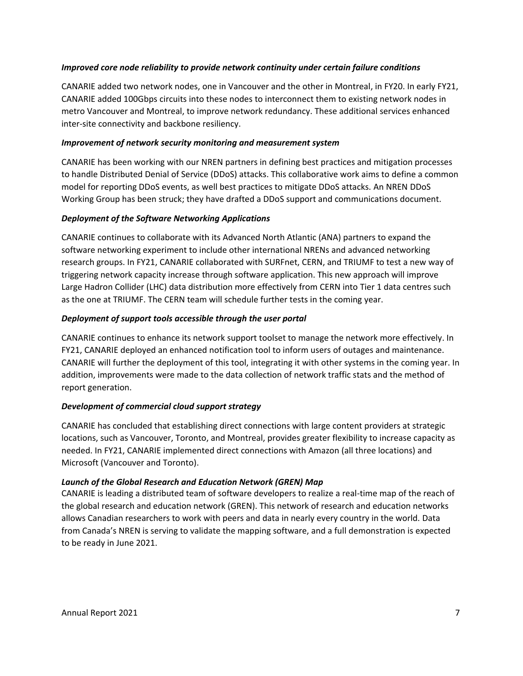#### *Improved core node reliability to provide network continuity under certain failure conditions*

CANARIE added two network nodes, one in Vancouver and the other in Montreal, in FY20. In early FY21, CANARIE added 100Gbps circuits into these nodes to interconnect them to existing network nodes in metro Vancouver and Montreal, to improve network redundancy. These additional services enhanced inter-site connectivity and backbone resiliency.

#### *Improvement of network security monitoring and measurement system*

CANARIE has been working with our NREN partners in defining best practices and mitigation processes to handle Distributed Denial of Service (DDoS) attacks. This collaborative work aims to define a common model for reporting DDoS events, as well best practices to mitigate DDoS attacks. An NREN DDoS Working Group has been struck; they have drafted a DDoS support and communications document.

#### *Deployment of the Software Networking Applications*

CANARIE continues to collaborate with its Advanced North Atlantic (ANA) partners to expand the software networking experiment to include other international NRENs and advanced networking research groups. In FY21, CANARIE collaborated with SURFnet, CERN, and TRIUMF to test a new way of triggering network capacity increase through software application. This new approach will improve Large Hadron Collider (LHC) data distribution more effectively from CERN into Tier 1 data centres such as the one at TRIUMF. The CERN team will schedule further tests in the coming year.

#### *Deployment of support tools accessible through the user portal*

CANARIE continues to enhance its network support toolset to manage the network more effectively. In FY21, CANARIE deployed an enhanced notification tool to inform users of outages and maintenance. CANARIE will further the deployment of this tool, integrating it with other systems in the coming year. In addition, improvements were made to the data collection of network traffic stats and the method of report generation.

#### *Development of commercial cloud support strategy*

CANARIE has concluded that establishing direct connections with large content providers at strategic locations, such as Vancouver, Toronto, and Montreal, provides greater flexibility to increase capacity as needed. In FY21, CANARIE implemented direct connections with Amazon (all three locations) and Microsoft (Vancouver and Toronto).

#### *Launch of the Global Research and Education Network (GREN) Map*

CANARIE is leading a distributed team of software developers to realize a real-time map of the reach of the global research and education network (GREN). This network of research and education networks allows Canadian researchers to work with peers and data in nearly every country in the world. Data from Canada's NREN is serving to validate the mapping software, and a full demonstration is expected to be ready in June 2021.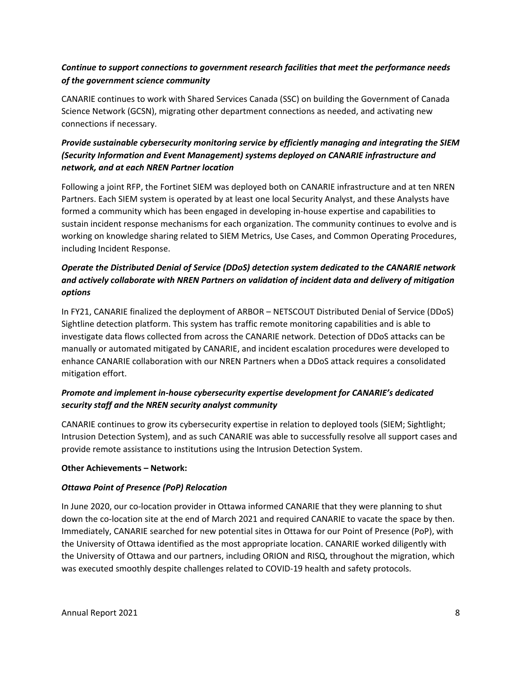## *Continue to support connections to government research facilities that meet the performance needs of the government science community*

CANARIE continues to work with Shared Services Canada (SSC) on building the Government of Canada Science Network (GCSN), migrating other department connections as needed, and activating new connections if necessary.

## *Provide sustainable cybersecurity monitoring service by efficiently managing and integrating the SIEM (Security Information and Event Management) systems deployed on CANARIE infrastructure and network, and at each NREN Partner location*

Following a joint RFP, the Fortinet SIEM was deployed both on CANARIE infrastructure and at ten NREN Partners. Each SIEM system is operated by at least one local Security Analyst, and these Analysts have formed a community which has been engaged in developing in-house expertise and capabilities to sustain incident response mechanisms for each organization. The community continues to evolve and is working on knowledge sharing related to SIEM Metrics, Use Cases, and Common Operating Procedures, including Incident Response.

## *Operate the Distributed Denial of Service (DDoS) detection system dedicated to the CANARIE network and actively collaborate with NREN Partners on validation of incident data and delivery of mitigation options*

In FY21, CANARIE finalized the deployment of ARBOR – NETSCOUT Distributed Denial of Service (DDoS) Sightline detection platform. This system has traffic remote monitoring capabilities and is able to investigate data flows collected from across the CANARIE network. Detection of DDoS attacks can be manually or automated mitigated by CANARIE, and incident escalation procedures were developed to enhance CANARIE collaboration with our NREN Partners when a DDoS attack requires a consolidated mitigation effort.

## *Promote and implement in-house cybersecurity expertise development for CANARIE's dedicated security staff and the NREN security analyst community*

CANARIE continues to grow its cybersecurity expertise in relation to deployed tools (SIEM; Sightlight; Intrusion Detection System), and as such CANARIE was able to successfully resolve all support cases and provide remote assistance to institutions using the Intrusion Detection System.

## **Other Achievements – Network:**

## *Ottawa Point of Presence (PoP) Relocation*

In June 2020, our co-location provider in Ottawa informed CANARIE that they were planning to shut down the co-location site at the end of March 2021 and required CANARIE to vacate the space by then. Immediately, CANARIE searched for new potential sites in Ottawa for our Point of Presence (PoP), with the University of Ottawa identified as the most appropriate location. CANARIE worked diligently with the University of Ottawa and our partners, including ORION and RISQ, throughout the migration, which was executed smoothly despite challenges related to COVID-19 health and safety protocols.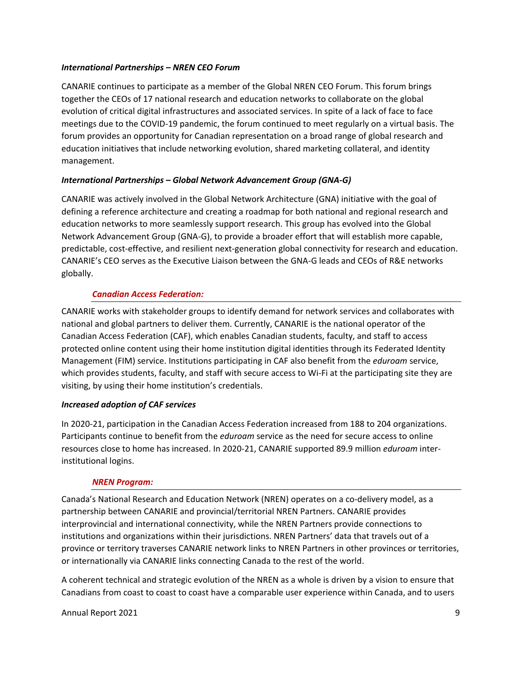#### *International Partnerships – NREN CEO Forum*

CANARIE continues to participate as a member of the Global NREN CEO Forum. This forum brings together the CEOs of 17 national research and education networks to collaborate on the global evolution of critical digital infrastructures and associated services. In spite of a lack of face to face meetings due to the COVID-19 pandemic, the forum continued to meet regularly on a virtual basis. The forum provides an opportunity for Canadian representation on a broad range of global research and education initiatives that include networking evolution, shared marketing collateral, and identity management.

#### *International Partnerships – Global Network Advancement Group (GNA-G)*

CANARIE was actively involved in the Global Network Architecture (GNA) initiative with the goal of defining a reference architecture and creating a roadmap for both national and regional research and education networks to more seamlessly support research. This group has evolved into the Global Network Advancement Group (GNA-G), to provide a broader effort that will establish more capable, predictable, cost-effective, and resilient next-generation global connectivity for research and education. CANARIE's CEO serves as the Executive Liaison between the GNA-G leads and CEOs of R&E networks globally.

#### *Canadian Access Federation:*

CANARIE works with stakeholder groups to identify demand for network services and collaborates with national and global partners to deliver them. Currently, CANARIE is the national operator of the Canadian Access Federation (CAF), which enables Canadian students, faculty, and staff to access protected online content using their home institution digital identities through its Federated Identity Management (FIM) service. Institutions participating in CAF also benefit from the *eduroam* service, which provides students, faculty, and staff with secure access to Wi-Fi at the participating site they are visiting, by using their home institution's credentials.

## *Increased adoption of CAF services*

In 2020-21, participation in the Canadian Access Federation increased from 188 to 204 organizations. Participants continue to benefit from the *eduroam* service as the need for secure access to online resources close to home has increased. In 2020-21, CANARIE supported 89.9 million *eduroam* interinstitutional logins.

#### *NREN Program:*

Canada's National Research and Education Network (NREN) operates on a co-delivery model, as a partnership between CANARIE and provincial/territorial NREN Partners. CANARIE provides interprovincial and international connectivity, while the NREN Partners provide connections to institutions and organizations within their jurisdictions. NREN Partners' data that travels out of a province or territory traverses CANARIE network links to NREN Partners in other provinces or territories, or internationally via CANARIE links connecting Canada to the rest of the world.

A coherent technical and strategic evolution of the NREN as a whole is driven by a vision to ensure that Canadians from coast to coast to coast have a comparable user experience within Canada, and to users

Annual Report 2021 9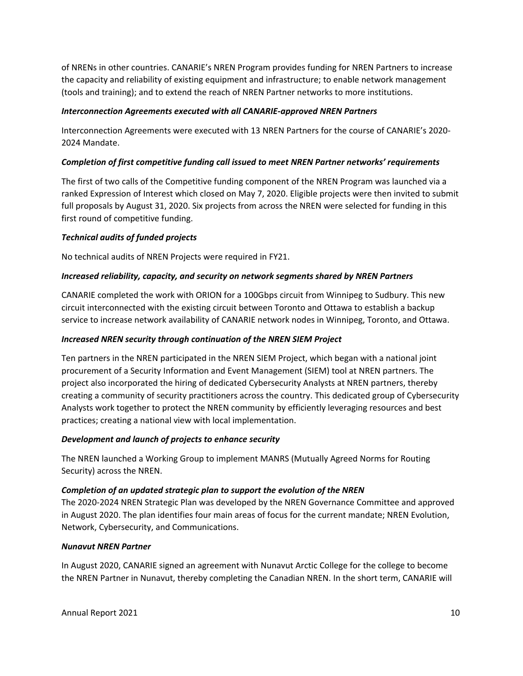of NRENs in other countries. CANARIE's NREN Program provides funding for NREN Partners to increase the capacity and reliability of existing equipment and infrastructure; to enable network management (tools and training); and to extend the reach of NREN Partner networks to more institutions.

#### *Interconnection Agreements executed with all CANARIE-approved NREN Partners*

Interconnection Agreements were executed with 13 NREN Partners for the course of CANARIE's 2020- 2024 Mandate.

#### *Completion of first competitive funding call issued to meet NREN Partner networks' requirements*

The first of two calls of the Competitive funding component of the NREN Program was launched via a ranked Expression of Interest which closed on May 7, 2020. Eligible projects were then invited to submit full proposals by August 31, 2020. Six projects from across the NREN were selected for funding in this first round of competitive funding.

## *Technical audits of funded projects*

No technical audits of NREN Projects were required in FY21.

#### *Increased reliability, capacity, and security on network segments shared by NREN Partners*

CANARIE completed the work with ORION for a 100Gbps circuit from Winnipeg to Sudbury. This new circuit interconnected with the existing circuit between Toronto and Ottawa to establish a backup service to increase network availability of CANARIE network nodes in Winnipeg, Toronto, and Ottawa.

#### *Increased NREN security through continuation of the NREN SIEM Project*

Ten partners in the NREN participated in the NREN SIEM Project, which began with a national joint procurement of a Security Information and Event Management (SIEM) tool at NREN partners. The project also incorporated the hiring of dedicated Cybersecurity Analysts at NREN partners, thereby creating a community of security practitioners across the country. This dedicated group of Cybersecurity Analysts work together to protect the NREN community by efficiently leveraging resources and best practices; creating a national view with local implementation.

#### *Development and launch of projects to enhance security*

The NREN launched a Working Group to implement MANRS (Mutually Agreed Norms for Routing Security) across the NREN.

#### *Completion of an updated strategic plan to support the evolution of the NREN*

The 2020-2024 NREN Strategic Plan was developed by the NREN Governance Committee and approved in August 2020. The plan identifies four main areas of focus for the current mandate; NREN Evolution, Network, Cybersecurity, and Communications.

#### *Nunavut NREN Partner*

In August 2020, CANARIE signed an agreement with Nunavut Arctic College for the college to become the NREN Partner in Nunavut, thereby completing the Canadian NREN. In the short term, CANARIE will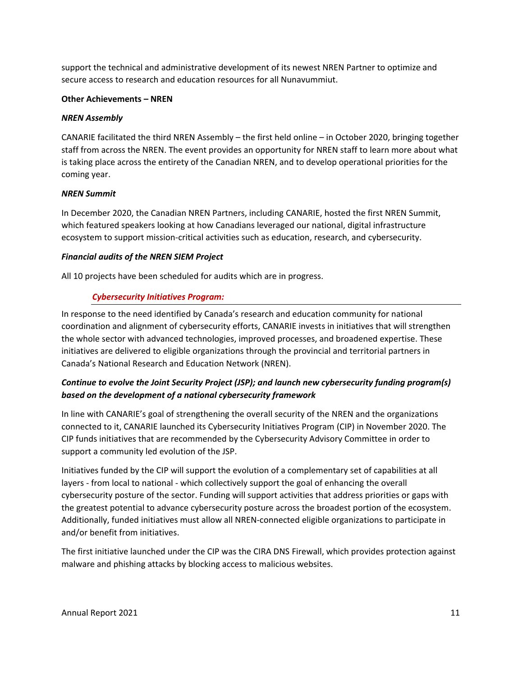support the technical and administrative development of its newest NREN Partner to optimize and secure access to research and education resources for all Nunavummiut.

#### **Other Achievements – NREN**

#### *NREN Assembly*

CANARIE facilitated the third NREN Assembly – the first held online – in October 2020, bringing together staff from across the NREN. The event provides an opportunity for NREN staff to learn more about what is taking place across the entirety of the Canadian NREN, and to develop operational priorities for the coming year.

#### *NREN Summit*

In December 2020, the Canadian NREN Partners, including CANARIE, hosted the first NREN Summit, which featured speakers looking at how Canadians leveraged our national, digital infrastructure ecosystem to support mission-critical activities such as education, research, and cybersecurity.

#### *Financial audits of the NREN SIEM Project*

All 10 projects have been scheduled for audits which are in progress.

## *Cybersecurity Initiatives Program:*

In response to the need identified by Canada's research and education community for national coordination and alignment of cybersecurity efforts, CANARIE invests in initiatives that will strengthen the whole sector with advanced technologies, improved processes, and broadened expertise. These initiatives are delivered to eligible organizations through the provincial and territorial partners in Canada's National Research and Education Network (NREN).

## *Continue to evolve the Joint Security Project (JSP); and launch new cybersecurity funding program(s) based on the development of a national cybersecurity framework*

In line with CANARIE's goal of strengthening the overall security of the NREN and the organizations connected to it, CANARIE launched its Cybersecurity Initiatives Program (CIP) in November 2020. The CIP funds initiatives that are recommended by the Cybersecurity Advisory Committee in order to support a community led evolution of the JSP.

Initiatives funded by the CIP will support the evolution of a complementary set of capabilities at all layers - from local to national - which collectively support the goal of enhancing the overall cybersecurity posture of the sector. Funding will support activities that address priorities or gaps with the greatest potential to advance cybersecurity posture across the broadest portion of the ecosystem. Additionally, funded initiatives must allow all NREN-connected eligible organizations to participate in and/or benefit from initiatives.

The first initiative launched under the CIP was the CIRA DNS Firewall, which provides protection against malware and phishing attacks by blocking access to malicious websites.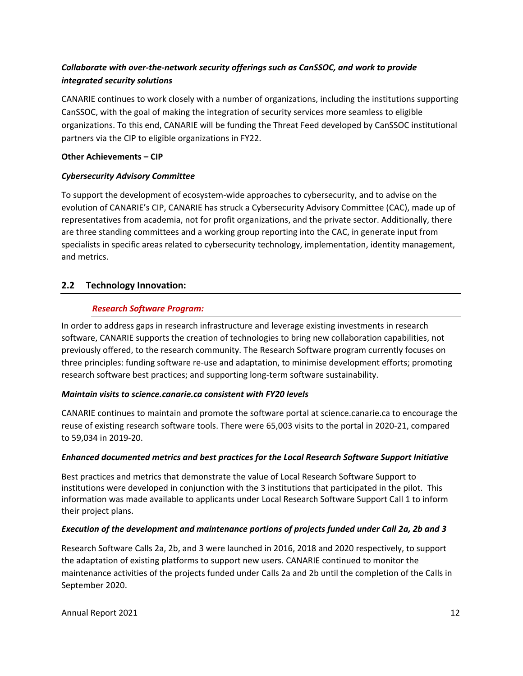## *Collaborate with over-the-network security offerings such as CanSSOC, and work to provide integrated security solutions*

CANARIE continues to work closely with a number of organizations, including the institutions supporting CanSSOC, with the goal of making the integration of security services more seamless to eligible organizations. To this end, CANARIE will be funding the Threat Feed developed by CanSSOC institutional partners via the CIP to eligible organizations in FY22.

## **Other Achievements – CIP**

## *Cybersecurity Advisory Committee*

To support the development of ecosystem-wide approaches to cybersecurity, and to advise on the evolution of CANARIE's CIP, CANARIE has struck a Cybersecurity Advisory Committee (CAC), made up of representatives from academia, not for profit organizations, and the private sector. Additionally, there are three standing committees and a working group reporting into the CAC, in generate input from specialists in specific areas related to cybersecurity technology, implementation, identity management, and metrics.

## **2.2 Technology Innovation:**

#### *Research Software Program:*

In order to address gaps in research infrastructure and leverage existing investments in research software, CANARIE supports the creation of technologies to bring new collaboration capabilities, not previously offered, to the research community. The Research Software program currently focuses on three principles: funding software re-use and adaptation, to minimise development efforts; promoting research software best practices; and supporting long-term software sustainability.

#### *Maintain visits to science.canarie.ca consistent with FY20 levels*

CANARIE continues to maintain and promote the software portal at [science.canarie.ca](http://science.canarie.ca/) to encourage the reuse of existing research software tools. There were 65,003 visits to the portal in 2020-21, compared to 59,034 in 2019-20.

#### *Enhanced documented metrics and best practices for the Local Research Software Support Initiative*

Best practices and metrics that demonstrate the value of Local Research Software Support to institutions were developed in conjunction with the 3 institutions that participated in the pilot. This information was made available to applicants under Local Research Software Support Call 1 to inform their project plans.

#### *Execution of the development and maintenance portions of projects funded under Call 2a, 2b and 3*

Research Software Calls 2a, 2b, and 3 were launched in 2016, 2018 and 2020 respectively, to support the adaptation of existing platforms to support new users. CANARIE continued to monitor the maintenance activities of the projects funded under Calls 2a and 2b until the completion of the Calls in September 2020.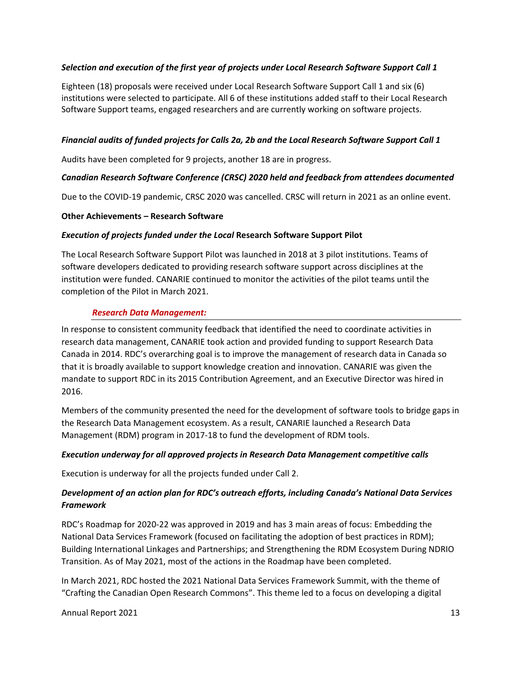#### *• Selection and execution of the first year of projects under Local Research Software Support Call 1*

Eighteen (18) proposals were received under Local Research Software Support Call 1 and six (6) institutions were selected to participate. All 6 of these institutions added staff to their Local Research Software Support teams, engaged researchers and are currently working on software projects.

#### *• Financial audits of funded projects for Calls 2a, 2b and the Local Research Software Support Call 1*

Audits have been completed for 9 projects, another 18 are in progress.

#### *• Canadian Research Software Conference (CRSC) 2020 held and feedback from attendees documented*

Due to the COVID-19 pandemic, CRSC 2020 was cancelled. CRSC will return in 2021 as an online event.

#### **Other Achievements – Research Software**

#### *Execution of projects funded under the Local* **Research Software Support Pilot**

The Local Research Software Support Pilot was launched in 2018 at 3 pilot institutions. Teams of software developers dedicated to providing research software support across disciplines at the institution were funded. CANARIE continued to monitor the activities of the pilot teams until the completion of the Pilot in March 2021.

#### *Research Data Management:*

In response to consistent community feedback that identified the need to coordinate activities in research data management, CANARIE took action and provided funding to support Research Data Canada in 2014. RDC's overarching goal is to improve the management of research data in Canada so that it is broadly available to support knowledge creation and innovation. CANARIE was given the mandate to support RDC in its 2015 Contribution Agreement, and an Executive Director was hired in 2016.

Members of the community presented the need for the development of software tools to bridge gaps in the Research Data Management ecosystem. As a result, CANARIE launched a Research Data Management (RDM) program in 2017-18 to fund the development of RDM tools.

#### *Execution underway for all approved projects in Research Data Management competitive calls*

Execution is underway for all the projects funded under Call 2.

## *Development of an action plan for RDC's outreach efforts, including Canada's National Data Services Framework*

RDC's Roadmap for 2020-22 was approved in 2019 and has 3 main areas of focus: Embedding the National Data Services Framework (focused on facilitating the adoption of best practices in RDM); Building International Linkages and Partnerships; and Strengthening the RDM Ecosystem During NDRIO Transition. As of May 2021, most of the actions in the Roadmap have been completed.

In March 2021, RDC hosted the 2021 National Data Services Framework Summit, with the theme of "Crafting the Canadian Open Research Commons". This theme led to a focus on developing a digital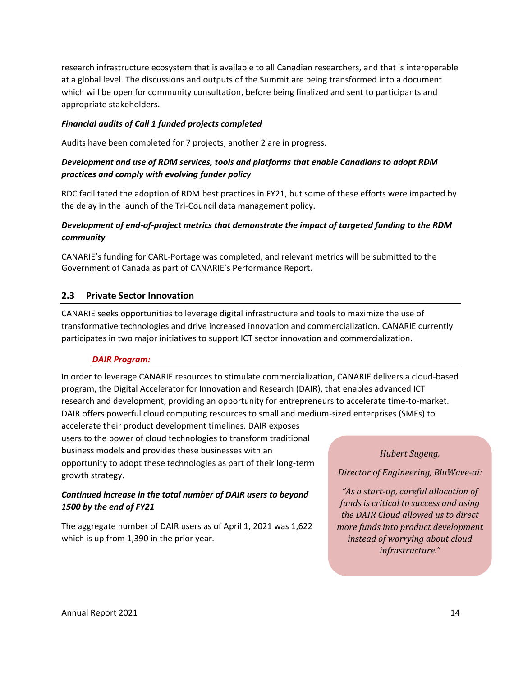research infrastructure ecosystem that is available to all Canadian researchers, and that is interoperable at a global level. The discussions and outputs of the Summit are being transformed into a document which will be open for community consultation, before being finalized and sent to participants and appropriate stakeholders.

#### *Financial audits of Call 1 funded projects completed*

Audits have been completed for 7 projects; another 2 are in progress.

## *Development and use of RDM services, tools and platforms that enable Canadians to adopt RDM practices and comply with evolving funder policy*

RDC facilitated the adoption of RDM best practices in FY21, but some of these efforts were impacted by the delay in the launch of the Tri-Council data management policy.

## *Development of end-of-project metrics that demonstrate the impact of targeted funding to the RDM community*

CANARIE's funding for CARL-Portage was completed, and relevant metrics will be submitted to the Government of Canada as part of CANARIE's Performance Report.

#### **2.3 Private Sector Innovation**

CANARIE seeks opportunities to leverage digital infrastructure and tools to maximize the use of transformative technologies and drive increased innovation and commercialization. CANARIE currently participates in two major initiatives to support ICT sector innovation and commercialization.

#### *DAIR Program:*

In order to leverage CANARIE resources to stimulate commercialization, CANARIE delivers a cloud-based program, the Digital Accelerator for Innovation and Research (DAIR), that enables advanced ICT research and development, providing an opportunity for entrepreneurs to accelerate time-to-market. DAIR offers powerful cloud computing resources to small and medium-sized enterprises (SMEs) to

accelerate their product development timelines. DAIR exposes users to the power of cloud technologies to transform traditional business models and provides these businesses with an opportunity to adopt these technologies as part of their long-term growth strategy.

## *Continued increase in the total number of DAIR users to beyond 1500 by the end of FY21*

The aggregate number of DAIR users as of April 1, 2021 was 1,622 which is up from 1,390 in the prior year.

#### *Hubert Sugeng,*

*Director of Engineering, BluWave-ai:*

*"As a start-up, careful allocation of funds is critical to success and using the DAIR Cloud allowed us to direct more funds into product development instead of worrying about cloud infrastructure."*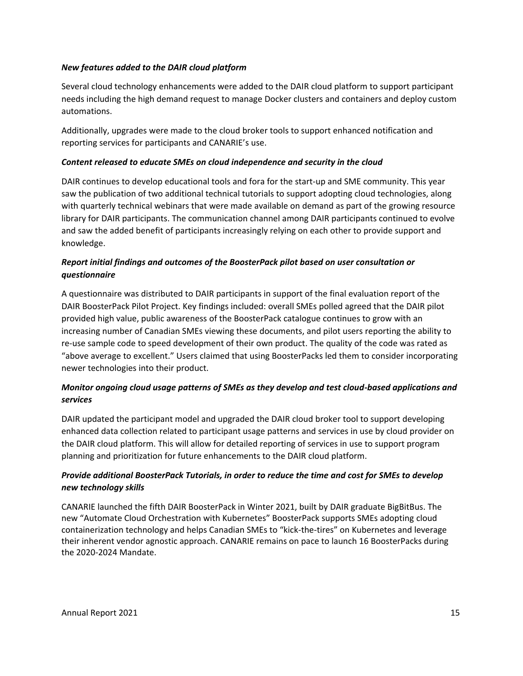#### *New features added to the DAIR cloud platform*

Several cloud technology enhancements were added to the DAIR cloud platform to support participant needs including the high demand request to manage Docker clusters and containers and deploy custom automations.

Additionally, upgrades were made to the cloud broker tools to support enhanced notification and reporting services for participants and CANARIE's use.

#### *Content released to educate SMEs on cloud independence and security in the cloud*

DAIR continues to develop educational tools and fora for the start-up and SME community. This year saw the publication of two additional technical tutorials to support adopting cloud technologies, along with quarterly technical webinars that were made available on demand as part of the growing resource library for DAIR participants. The communication channel among DAIR participants continued to evolve and saw the added benefit of participants increasingly relying on each other to provide support and knowledge.

## *Report initial findings and outcomes of the BoosterPack pilot based on user consultation or questionnaire*

A questionnaire was distributed to DAIR participants in support of the final evaluation report of the DAIR BoosterPack Pilot Project. Key findings included: overall SMEs polled agreed that the DAIR pilot provided high value, public awareness of the BoosterPack catalogue continues to grow with an increasing number of Canadian SMEs viewing these documents, and pilot users reporting the ability to re-use sample code to speed development of their own product. The quality of the code was rated as "above average to excellent." Users claimed that using BoosterPacks led them to consider incorporating newer technologies into their product.

## *Monitor ongoing cloud usage patterns of SMEs as they develop and test cloud-based applications and services*

DAIR updated the participant model and upgraded the DAIR cloud broker tool to support developing enhanced data collection related to participant usage patterns and services in use by cloud provider on the DAIR cloud platform. This will allow for detailed reporting of services in use to support program planning and prioritization for future enhancements to the DAIR cloud platform.

## *Provide additional BoosterPack Tutorials, in order to reduce the time and cost for SMEs to develop new technology skills*

CANARIE launched the fifth DAIR BoosterPack in Winter 2021, built by DAIR graduate BigBitBus. The new "Automate Cloud Orchestration with Kubernetes" BoosterPack supports SMEs adopting cloud containerization technology and helps Canadian SMEs to "kick-the-tires" on Kubernetes and leverage their inherent vendor agnostic approach. CANARIE remains on pace to launch 16 BoosterPacks during the 2020-2024 Mandate.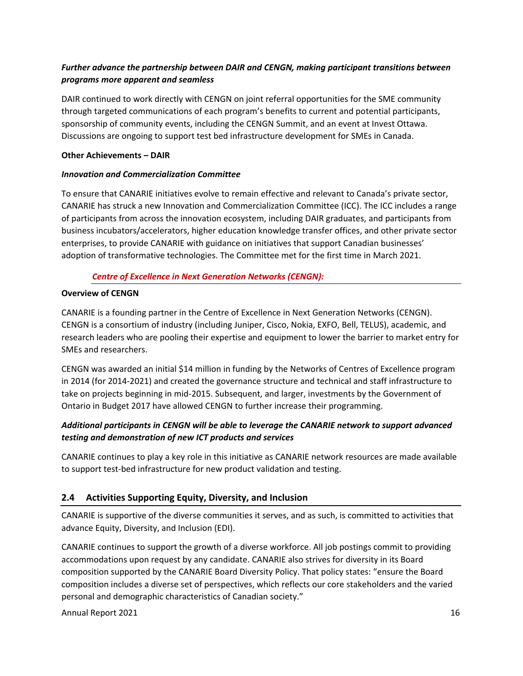## *Further advance the partnership between DAIR and CENGN, making participant transitions between programs more apparent and seamless*

DAIR continued to work directly with CENGN on joint referral opportunities for the SME community through targeted communications of each program's benefits to current and potential participants, sponsorship of community events, including the CENGN Summit, and an event at Invest Ottawa. Discussions are ongoing to support test bed infrastructure development for SMEs in Canada.

#### **Other Achievements – DAIR**

#### *Innovation and Commercialization Committee*

To ensure that CANARIE initiatives evolve to remain effective and relevant to Canada's private sector, CANARIE has struck a new Innovation and Commercialization Committee (ICC). The ICC includes a range of participants from across the innovation ecosystem, including DAIR graduates, and participants from business incubators/accelerators, higher education knowledge transfer offices, and other private sector enterprises, to provide CANARIE with guidance on initiatives that support Canadian businesses' adoption of transformative technologies. The Committee met for the first time in March 2021.

## *Centre of Excellence in Next Generation Networks (CENGN):*

#### **Overview of CENGN**

CANARIE is a founding partner in the Centre of Excellence in Next Generation Networks (CENGN). CENGN is a consortium of industry (including Juniper, Cisco, Nokia, EXFO, Bell, TELUS), academic, and research leaders who are pooling their expertise and equipment to lower the barrier to market entry for SMEs and researchers.

CENGN was awarded an initial \$14 million in funding by the Networks of Centres of Excellence program in 2014 (for 2014-2021) and created the governance structure and technical and staff infrastructure to take on projects beginning in mid-2015. Subsequent, and larger, investments by the Government of Ontario in Budget 2017 have allowed CENGN to further increase their programming.

## *Additional participants in CENGN will be able to leverage the CANARIE network to support advanced testing and demonstration of new ICT products and services*

CANARIE continues to play a key role in this initiative as CANARIE network resources are made available to support test-bed infrastructure for new product validation and testing.

## **2.4 Activities Supporting Equity, Diversity, and Inclusion**

CANARIE is supportive of the diverse communities it serves, and as such, is committed to activities that advance Equity, Diversity, and Inclusion (EDI).

CANARIE continues to support the growth of a diverse workforce. All job postings commit to providing accommodations upon request by any candidate. CANARIE also strives for diversity in its Board composition supported by the CANARIE Board Diversity Policy. That policy states: "ensure the Board composition includes a diverse set of perspectives, which reflects our core stakeholders and the varied personal and demographic characteristics of Canadian society."

Annual Report 2021 16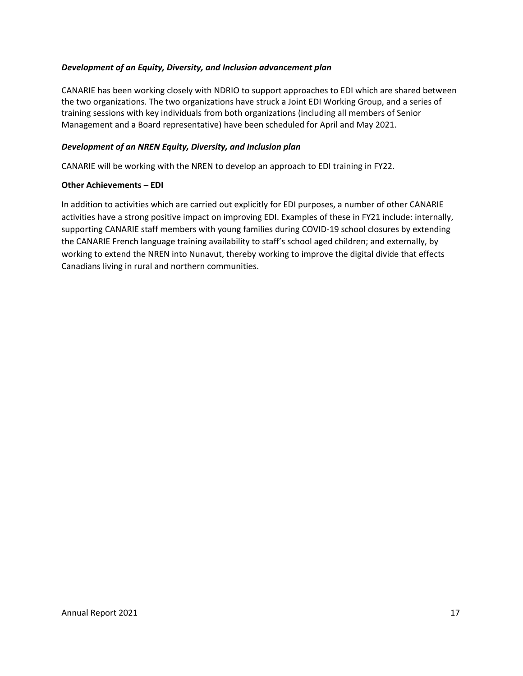#### *Development of an Equity, Diversity, and Inclusion advancement plan*

CANARIE has been working closely with NDRIO to support approaches to EDI which are shared between the two organizations. The two organizations have struck a Joint EDI Working Group, and a series of training sessions with key individuals from both organizations (including all members of Senior Management and a Board representative) have been scheduled for April and May 2021.

#### *Development of an NREN Equity, Diversity, and Inclusion plan*

CANARIE will be working with the NREN to develop an approach to EDI training in FY22.

#### **Other Achievements – EDI**

In addition to activities which are carried out explicitly for EDI purposes, a number of other CANARIE activities have a strong positive impact on improving EDI. Examples of these in FY21 include: internally, supporting CANARIE staff members with young families during COVID-19 school closures by extending the CANARIE French language training availability to staff's school aged children; and externally, by working to extend the NREN into Nunavut, thereby working to improve the digital divide that effects Canadians living in rural and northern communities.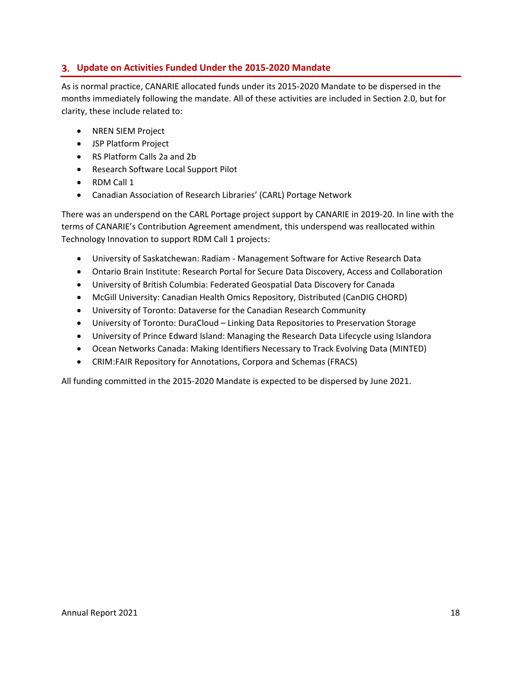## <span id="page-19-0"></span>**Update on Activities Funded Under the 2015-2020 Mandate**

As is normal practice, CANARIE allocated funds under its 2015-2020 Mandate to be dispersed in the months immediately following the mandate. All of these activities are included in Section 2.0, but for clarity, these include related to:

- NREN SIEM Project
- JSP Platform Project
- RS Platform Calls 2a and 2b
- Research Software Local Support Pilot
- RDM Call 1
- Canadian Association of Research Libraries' (CARL) Portage Network

There was an underspend on the CARL Portage project support by CANARIE in 2019-20. In line with the terms of CANARIE's Contribution Agreement amendment, this underspend was reallocated within Technology Innovation to support RDM Call 1 projects:

- University of Saskatchewan: Radiam Management Software for Active Research Data
- Ontario Brain Institute: Research Portal for Secure Data Discovery, Access and Collaboration
- University of British Columbia: Federated Geospatial Data Discovery for Canada
- McGill University: Canadian Health Omics Repository, Distributed (CanDIG CHORD)
- University of Toronto: Dataverse for the Canadian Research Community
- University of Toronto: DuraCloud Linking Data Repositories to Preservation Storage
- University of Prince Edward Island: Managing the Research Data Lifecycle using Islandora
- Ocean Networks Canada: Making Identifiers Necessary to Track Evolving Data (MINTED)
- CRIM:FAIR Repository for Annotations, Corpora and Schemas (FRACS)

All funding committed in the 2015-2020 Mandate is expected to be dispersed by June 2021.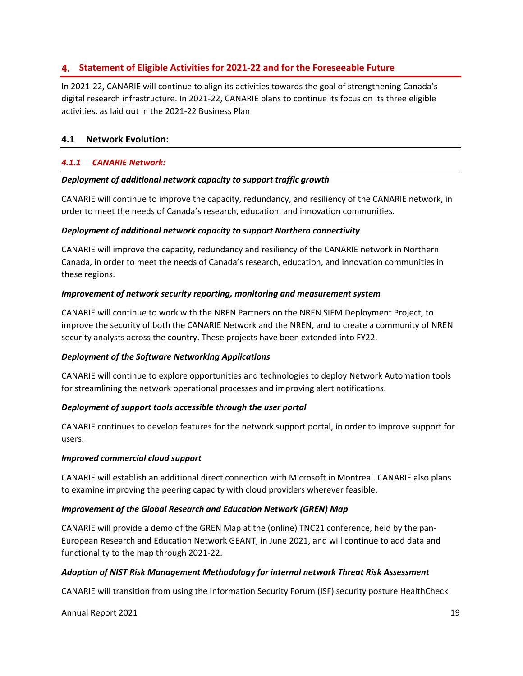## <span id="page-20-0"></span>**Statement of Eligible Activities for 2021-22 and for the Foreseeable Future**

In 2021-22, CANARIE will continue to align its activities towards the goal of strengthening Canada's digital research infrastructure. In 2021-22, CANARIE plans to continue its focus on its three eligible activities, as laid out in the 2021-22 Business Plan

## **4.1 Network Evolution:**

#### *4.1.1 CANARIE Network:*

#### *Deployment of additional network capacity to support traffic growth*

CANARIE will continue to improve the capacity, redundancy, and resiliency of the CANARIE network, in order to meet the needs of Canada's research, education, and innovation communities.

#### *Deployment of additional network capacity to support Northern connectivity*

CANARIE will improve the capacity, redundancy and resiliency of the CANARIE network in Northern Canada, in order to meet the needs of Canada's research, education, and innovation communities in these regions.

#### *Improvement of network security reporting, monitoring and measurement system*

CANARIE will continue to work with the NREN Partners on the NREN SIEM Deployment Project, to improve the security of both the CANARIE Network and the NREN, and to create a community of NREN security analysts across the country. These projects have been extended into FY22.

#### *Deployment of the Software Networking Applications*

CANARIE will continue to explore opportunities and technologies to deploy Network Automation tools for streamlining the network operational processes and improving alert notifications.

#### *Deployment of support tools accessible through the user portal*

CANARIE continues to develop features for the network support portal, in order to improve support for users.

#### *Improved commercial cloud support*

CANARIE will establish an additional direct connection with Microsoft in Montreal. CANARIE also plans to examine improving the peering capacity with cloud providers wherever feasible.

#### *Improvement of the Global Research and Education Network (GREN) Map*

CANARIE will provide a demo of the GREN Map at the (online) TNC21 conference, held by the pan-European Research and Education Network GEANT, in June 2021, and will continue to add data and functionality to the map through 2021-22.

## *Adoption of NIST Risk Management Methodology for internal network Threat Risk Assessment*

CANARIE will transition from using the Information Security Forum (ISF) security posture HealthCheck

Annual Report 2021 1992 1992 1993 1994 1994 1996 1997 1998 1999 1999 1999 1994 1995 1996 1997 1998 1999 1999 1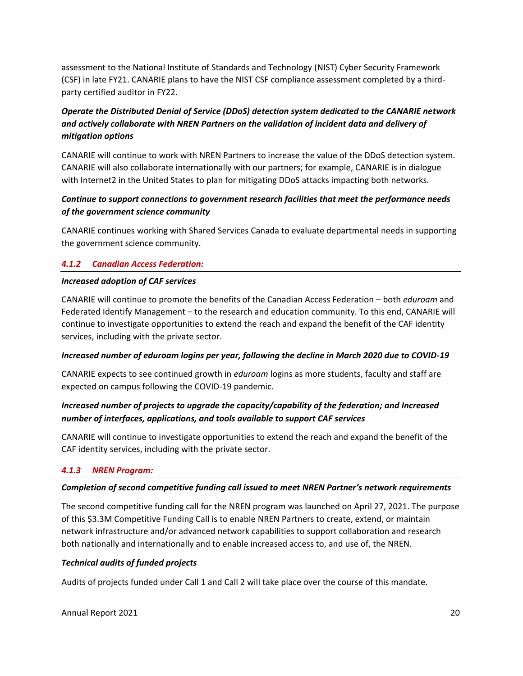assessment to the National Institute of Standards and Technology (NIST) Cyber Security Framework (CSF) in late FY21. CANARIE plans to have the NIST CSF compliance assessment completed by a thirdparty certified auditor in FY22.

## *Operate the Distributed Denial of Service (DDoS) detection system dedicated to the CANARIE network and actively collaborate with NREN Partners on the validation of incident data and delivery of mitigation options*

CANARIE will continue to work with NREN Partners to increase the value of the DDoS detection system. CANARIE will also collaborate internationally with our partners; for example, CANARIE is in dialogue with Internet2 in the United States to plan for mitigating DDoS attacks impacting both networks.

## *Continue to support connections to government research facilities that meet the performance needs of the government science community*

CANARIE continues working with Shared Services Canada to evaluate departmental needs in supporting the government science community.

## *4.1.2 Canadian Access Federation:*

#### *Increased adoption of CAF services*

CANARIE will continue to promote the benefits of the Canadian Access Federation – both *eduroam* and Federated Identify Management – to the research and education community. To this end, CANARIE will continue to investigate opportunities to extend the reach and expand the benefit of the CAF identity services, including with the private sector.

#### *Increased number of eduroam logins per year, following the decline in March 2020 due to COVID-19*

CANARIE expects to see continued growth in *eduroam* logins as more students, faculty and staff are expected on campus following the COVID-19 pandemic.

## *Increased number of projects to upgrade the capacity/capability of the federation; and Increased number of interfaces, applications, and tools available to support CAF services*

CANARIE will continue to investigate opportunities to extend the reach and expand the benefit of the CAF identity services, including with the private sector.

#### *4.1.3 NREN Program:*

#### *Completion of second competitive funding call issued to meet NREN Partner's network requirements*

The second competitive funding call for the NREN program was launched on April 27, 2021. The purpose of this \$3.3M Competitive Funding Call is to enable NREN Partners to create, extend, or maintain network infrastructure and/or advanced network capabilities to support collaboration and research both nationally and internationally and to enable increased access to, and use of, the NREN.

#### *Technical audits of funded projects*

Audits of projects funded under Call 1 and Call 2 will take place over the course of this mandate.

Annual Report 2021 20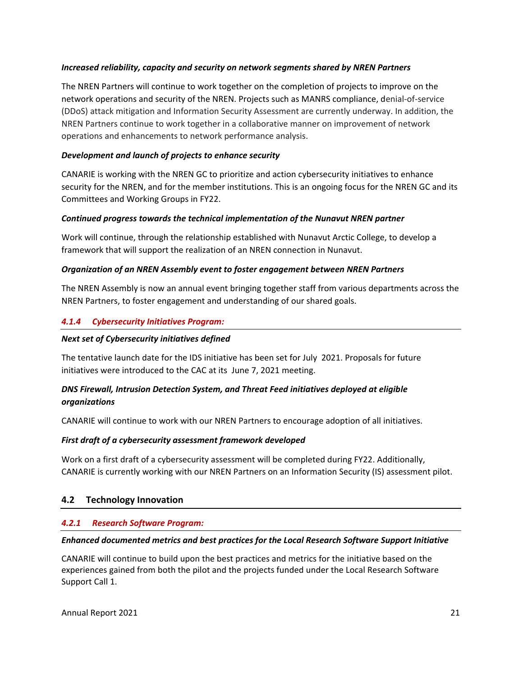#### *Increased reliability, capacity and security on network segments shared by NREN Partners*

The NREN Partners will continue to work together on the completion of projects to improve on the network operations and security of the NREN. Projects such as MANRS compliance, denial-of-service (DDoS) attack mitigation and Information Security Assessment are currently underway. In addition, the NREN Partners continue to work together in a collaborative manner on improvement of network operations and enhancements to network performance analysis.

#### *Development and launch of projects to enhance security*

CANARIE is working with the NREN GC to prioritize and action cybersecurity initiatives to enhance security for the NREN, and for the member institutions. This is an ongoing focus for the NREN GC and its Committees and Working Groups in FY22.

#### *Continued progress towards the technical implementation of the Nunavut NREN partner*

Work will continue, through the relationship established with Nunavut Arctic College, to develop a framework that will support the realization of an NREN connection in Nunavut.

#### *Organization of an NREN Assembly event to foster engagement between NREN Partners*

The NREN Assembly is now an annual event bringing together staff from various departments across the NREN Partners, to foster engagement and understanding of our shared goals.

## *4.1.4 Cybersecurity Initiatives Program:*

#### *Next set of Cybersecurity initiatives defined*

The tentative launch date for the IDS initiative has been set for July 2021. Proposals for future initiatives were introduced to the CAC at its June 7, 2021 meeting.

## *DNS Firewall, Intrusion Detection System, and Threat Feed initiatives deployed at eligible organizations*

CANARIE will continue to work with our NREN Partners to encourage adoption of all initiatives.

#### *First draft of a cybersecurity assessment framework developed*

Work on a first draft of a cybersecurity assessment will be completed during FY22. Additionally, CANARIE is currently working with our NREN Partners on an Information Security (IS) assessment pilot.

## **4.2 Technology Innovation**

#### *4.2.1 Research Software Program:*

#### *Enhanced documented metrics and best practices for the Local Research Software Support Initiative*

CANARIE will continue to build upon the best practices and metrics for the initiative based on the experiences gained from both the pilot and the projects funded under the Local Research Software Support Call 1.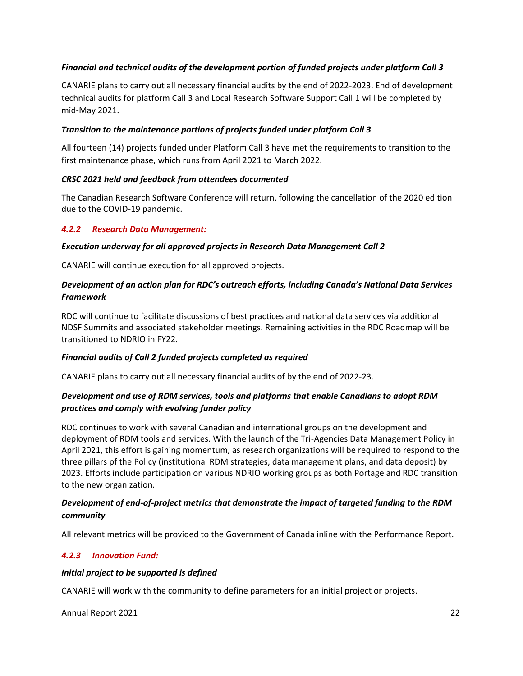#### *Financial and technical audits of the development portion of funded projects under platform Call 3*

CANARIE plans to carry out all necessary financial audits by the end of 2022-2023. End of development technical audits for platform Call 3 and Local Research Software Support Call 1 will be completed by mid-May 2021.

#### *Transition to the maintenance portions of projects funded under platform Call 3*

All fourteen (14) projects funded under Platform Call 3 have met the requirements to transition to the first maintenance phase, which runs from April 2021 to March 2022.

#### *CRSC 2021 held and feedback from attendees documented*

The Canadian Research Software Conference will return, following the cancellation of the 2020 edition due to the COVID-19 pandemic.

#### *4.2.2 Research Data Management:*

#### *Execution underway for all approved projects in Research Data Management Call 2*

CANARIE will continue execution for all approved projects.

## *Development of an action plan for RDC's outreach efforts, including Canada's National Data Services Framework*

RDC will continue to facilitate discussions of best practices and national data services via additional NDSF Summits and associated stakeholder meetings. Remaining activities in the RDC Roadmap will be transitioned to NDRIO in FY22.

#### *Financial audits of Call 2 funded projects completed as required*

CANARIE plans to carry out all necessary financial audits of by the end of 2022-23.

## *Development and use of RDM services, tools and platforms that enable Canadians to adopt RDM practices and comply with evolving funder policy*

RDC continues to work with several Canadian and international groups on the development and deployment of RDM tools and services. With the launch of the Tri-Agencies Data Management Policy in April 2021, this effort is gaining momentum, as research organizations will be required to respond to the three pillars pf the Policy (institutional RDM strategies, data management plans, and data deposit) by 2023. Efforts include participation on various NDRIO working groups as both Portage and RDC transition to the new organization.

## *Development of end-of-project metrics that demonstrate the impact of targeted funding to the RDM community*

All relevant metrics will be provided to the Government of Canada inline with the Performance Report.

## *4.2.3 Innovation Fund:*

#### *Initial project to be supported is defined*

CANARIE will work with the community to define parameters for an initial project or projects.

#### Annual Report 2021 22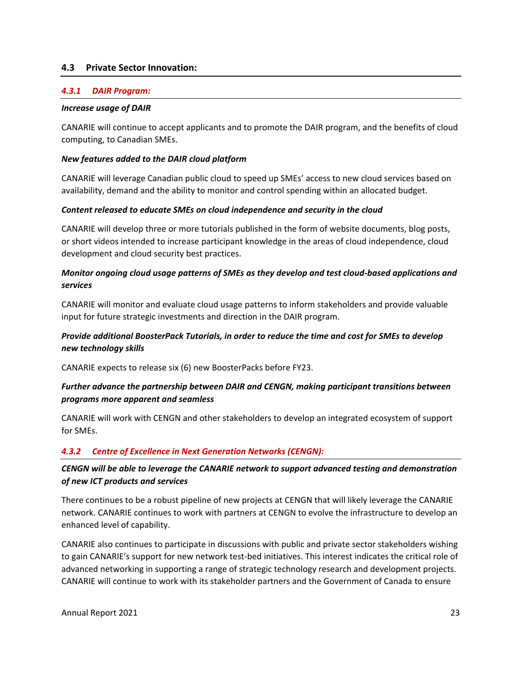#### **4.3 Private Sector Innovation:**

#### *4.3.1 DAIR Program:*

#### *Increase usage of DAIR*

CANARIE will continue to accept applicants and to promote the DAIR program, and the benefits of cloud computing, to Canadian SMEs.

#### *New features added to the DAIR cloud platform*

CANARIE will leverage Canadian public cloud to speed up SMEs' access to new cloud services based on availability, demand and the ability to monitor and control spending within an allocated budget.

#### *Content released to educate SMEs on cloud independence and security in the cloud*

CANARIE will develop three or more tutorials published in the form of website documents, blog posts, or short videos intended to increase participant knowledge in the areas of cloud independence, cloud development and cloud security best practices.

#### *Monitor ongoing cloud usage patterns of SMEs as they develop and test cloud-based applications and services*

CANARIE will monitor and evaluate cloud usage patterns to inform stakeholders and provide valuable input for future strategic investments and direction in the DAIR program.

#### *Provide additional BoosterPack Tutorials, in order to reduce the time and cost for SMEs to develop new technology skills*

CANARIE expects to release six (6) new BoosterPacks before FY23.

#### *Further advance the partnership between DAIR and CENGN, making participant transitions between programs more apparent and seamless*

CANARIE will work with CENGN and other stakeholders to develop an integrated ecosystem of support for SMEs.

#### *4.3.2 Centre of Excellence in Next Generation Networks (CENGN):*

## *CENGN will be able to leverage the CANARIE network to support advanced testing and demonstration of new ICT products and services*

There continues to be a robust pipeline of new projects at CENGN that will likely leverage the CANARIE network. CANARIE continues to work with partners at CENGN to evolve the infrastructure to develop an enhanced level of capability.

CANARIE also continues to participate in discussions with public and private sector stakeholders wishing to gain CANARIE's support for new network test-bed initiatives. This interest indicates the critical role of advanced networking in supporting a range of strategic technology research and development projects. CANARIE will continue to work with its stakeholder partners and the Government of Canada to ensure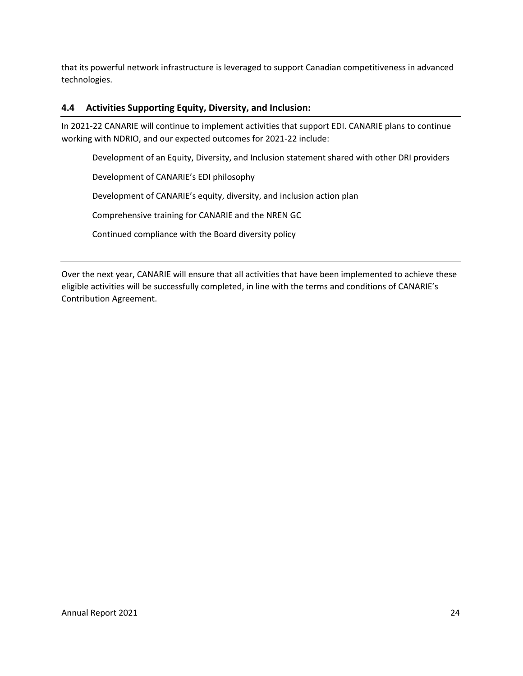that its powerful network infrastructure is leveraged to support Canadian competitiveness in advanced technologies.

## **4.4 Activities Supporting Equity, Diversity, and Inclusion:**

In 2021-22 CANARIE will continue to implement activities that support EDI. CANARIE plans to continue working with NDRIO, and our expected outcomes for 2021-22 include:

Development of an Equity, Diversity, and Inclusion statement shared with other DRI providers

Development of CANARIE's EDI philosophy

Development of CANARIE's equity, diversity, and inclusion action plan

Comprehensive training for CANARIE and the NREN GC

Continued compliance with the Board diversity policy

Over the next year, CANARIE will ensure that all activities that have been implemented to achieve these eligible activities will be successfully completed, in line with the terms and conditions of CANARIE's Contribution Agreement.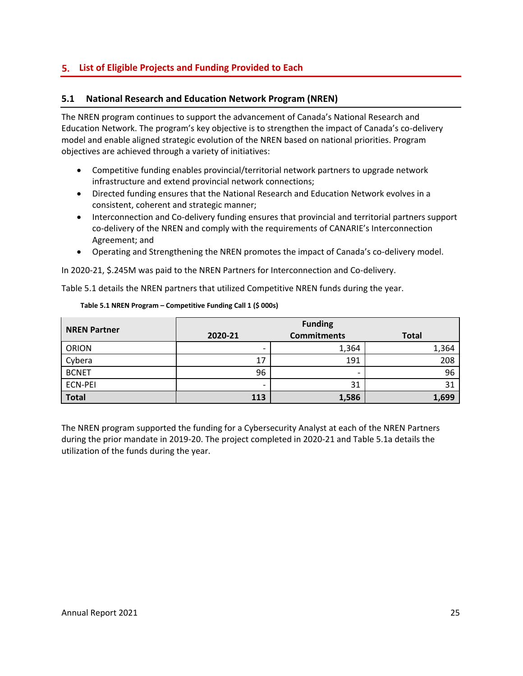## <span id="page-26-0"></span>**List of Eligible Projects and Funding Provided to Each**

## **5.1 National Research and Education Network Program (NREN)**

The NREN program continues to support the advancement of Canada's National Research and Education Network. The program's key objective is to strengthen the impact of Canada's co-delivery model and enable aligned strategic evolution of the NREN based on national priorities. Program objectives are achieved through a variety of initiatives:

- Competitive funding enables provincial/territorial network partners to upgrade network infrastructure and extend provincial network connections;
- Directed funding ensures that the National Research and Education Network evolves in a consistent, coherent and strategic manner;
- Interconnection and Co-delivery funding ensures that provincial and territorial partners support co-delivery of the NREN and comply with the requirements of CANARIE's Interconnection Agreement; and
- Operating and Strengthening the NREN promotes the impact of Canada's co-delivery model.

In 2020-21, \$.245M was paid to the NREN Partners for Interconnection and Co-delivery.

Table 5.1 details the NREN partners that utilized Competitive NREN funds during the year.

| <b>NREN Partner</b> | <b>Funding</b> |                          |              |
|---------------------|----------------|--------------------------|--------------|
|                     | 2020-21        | <b>Commitments</b>       | <b>Total</b> |
| <b>ORION</b>        |                | 1,364                    | 1,364        |
| Cybera              | 17             | 191                      | 208          |
| <b>BCNET</b>        | 96             | $\overline{\phantom{0}}$ | 96           |
| <b>ECN-PEI</b>      |                | 31                       | 31           |
| <b>Total</b>        | 113            | 1,586                    | 1,699        |

#### **Table 5.1 NREN Program – Competitive Funding Call 1 (\$ 000s)**

The NREN program supported the funding for a Cybersecurity Analyst at each of the NREN Partners during the prior mandate in 2019-20. The project completed in 2020-21 and Table 5.1a details the utilization of the funds during the year.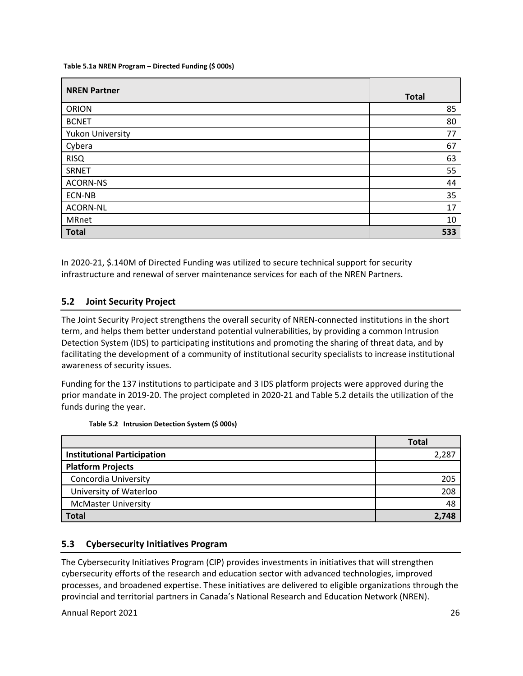#### **Table 5.1a NREN Program – Directed Funding (\$ 000s)**

| <b>NREN Partner</b> | <b>Total</b> |
|---------------------|--------------|
|                     |              |
| <b>ORION</b>        | 85           |
| <b>BCNET</b>        | 80           |
| Yukon University    | 77           |
| Cybera              | 67           |
| <b>RISQ</b>         | 63           |
| <b>SRNET</b>        | 55           |
| <b>ACORN-NS</b>     | 44           |
| ECN-NB              | 35           |
| <b>ACORN-NL</b>     | 17           |
| <b>MRnet</b>        | 10           |
| <b>Total</b>        | 533          |

In 2020-21, \$.140M of Directed Funding was utilized to secure technical support for security infrastructure and renewal of server maintenance services for each of the NREN Partners.

## **5.2 Joint Security Project**

The Joint Security Project strengthens the overall security of NREN-connected institutions in the short term, and helps them better understand potential vulnerabilities, by providing a common Intrusion Detection System (IDS) to participating institutions and promoting the sharing of threat data, and by facilitating the development of a community of institutional security specialists to increase institutional awareness of security issues.

Funding for the 137 institutions to participate and 3 IDS platform projects were approved during the prior mandate in 2019-20. The project completed in 2020-21 and Table 5.2 details the utilization of the funds during the year.

|                                    | <b>Total</b> |
|------------------------------------|--------------|
| <b>Institutional Participation</b> | 2,287        |
| <b>Platform Projects</b>           |              |
| Concordia University               | 205          |
| University of Waterloo             | 208          |
| <b>McMaster University</b>         | 48           |
| <b>Total</b>                       | 2,748        |

#### **Table 5.2 Intrusion Detection System (\$ 000s)**

#### **5.3 Cybersecurity Initiatives Program**

The Cybersecurity Initiatives Program (CIP) provides investments in initiatives that will strengthen cybersecurity efforts of the research and education sector with advanced technologies, improved processes, and broadened expertise. These initiatives are delivered to eligible organizations through the provincial and territorial partners in Canada's National Research and Education Network (NREN).

Annual Report 2021 26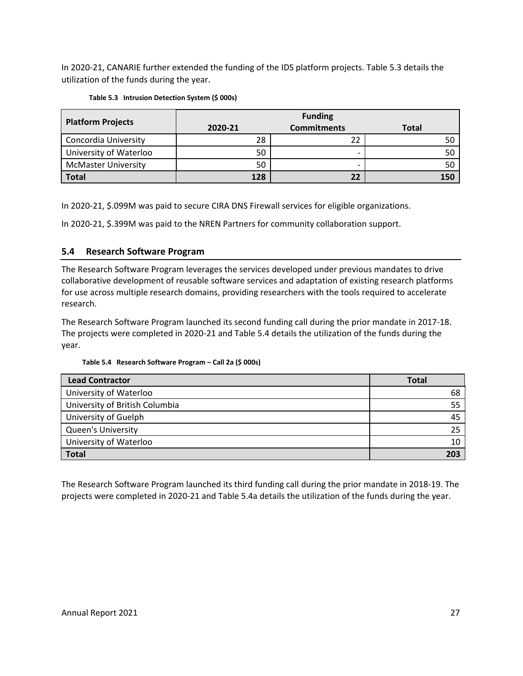In 2020-21, CANARIE further extended the funding of the IDS platform projects. Table 5.3 details the utilization of the funds during the year.

|  | Table 5.3 Intrusion Detection System (\$ 000s) |  |  |
|--|------------------------------------------------|--|--|
|--|------------------------------------------------|--|--|

| <b>Platform Projects</b>   | <b>Funding</b> |                    |              |
|----------------------------|----------------|--------------------|--------------|
|                            | 2020-21        | <b>Commitments</b> | <b>Total</b> |
| Concordia University       | 28             |                    | 50           |
| University of Waterloo     | 50             |                    | 50           |
| <b>McMaster University</b> | 50             | -                  | 50           |
| <b>Total</b>               | 128            | 22                 | 150          |

In 2020-21, \$.099M was paid to secure CIRA DNS Firewall services for eligible organizations.

In 2020-21, \$.399M was paid to the NREN Partners for community collaboration support.

## **5.4 Research Software Program**

The Research Software Program leverages the services developed under previous mandates to drive collaborative development of reusable software services and adaptation of existing research platforms for use across multiple research domains, providing researchers with the tools required to accelerate research.

The Research Software Program launched its second funding call during the prior mandate in 2017-18. The projects were completed in 2020-21 and Table 5.4 details the utilization of the funds during the year.

#### **Table 5.4 Research Software Program – Call 2a (\$ 000s)**

| <b>Lead Contractor</b>         | <b>Total</b> |
|--------------------------------|--------------|
| University of Waterloo         | 68           |
| University of British Columbia | 55           |
| University of Guelph           | 45           |
| <b>Queen's University</b>      | つら           |
| University of Waterloo         |              |
| <b>Total</b>                   | 203          |

The Research Software Program launched its third funding call during the prior mandate in 2018-19. The projects were completed in 2020-21 and Table 5.4a details the utilization of the funds during the year.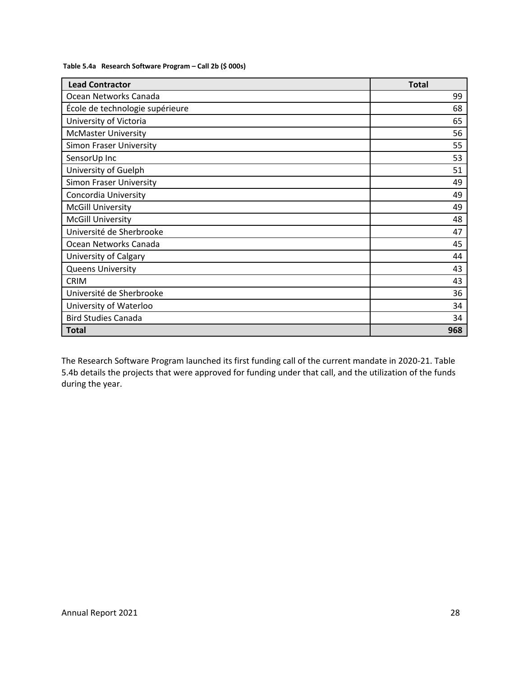|  | Table 5.4a Research Software Program - Call 2b (\$ 000s) |
|--|----------------------------------------------------------|
|--|----------------------------------------------------------|

| <b>Lead Contractor</b>          | <b>Total</b> |
|---------------------------------|--------------|
| Ocean Networks Canada           | 99           |
| École de technologie supérieure | 68           |
| University of Victoria          | 65           |
| <b>McMaster University</b>      | 56           |
| <b>Simon Fraser University</b>  | 55           |
| SensorUp Inc                    | 53           |
| University of Guelph            | 51           |
| <b>Simon Fraser University</b>  | 49           |
| Concordia University            | 49           |
| <b>McGill University</b>        | 49           |
| <b>McGill University</b>        | 48           |
| Université de Sherbrooke        | 47           |
| Ocean Networks Canada           | 45           |
| University of Calgary           | 44           |
| <b>Queens University</b>        | 43           |
| <b>CRIM</b>                     | 43           |
| Université de Sherbrooke        | 36           |
| University of Waterloo          | 34           |
| <b>Bird Studies Canada</b>      | 34           |
| <b>Total</b>                    | 968          |

The Research Software Program launched its first funding call of the current mandate in 2020-21. Table 5.4b details the projects that were approved for funding under that call, and the utilization of the funds during the year.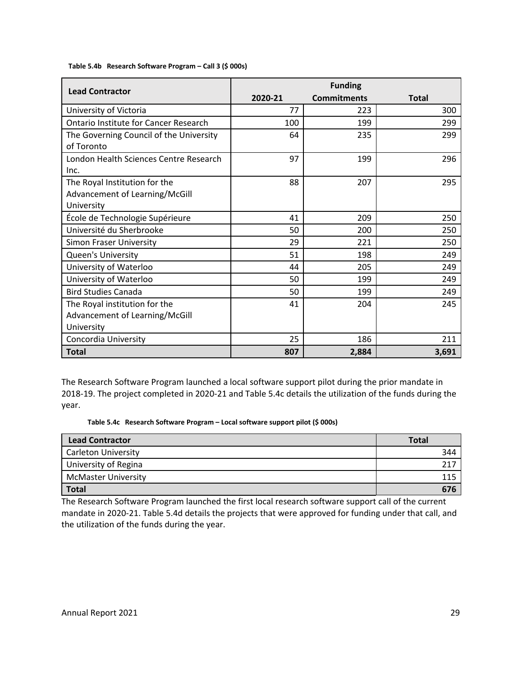#### **Table 5.4b Research Software Program – Call 3 (\$ 000s)**

| <b>Lead Contractor</b>                                                        | <b>Funding</b> |                    |              |  |
|-------------------------------------------------------------------------------|----------------|--------------------|--------------|--|
|                                                                               | 2020-21        | <b>Commitments</b> | <b>Total</b> |  |
| University of Victoria                                                        | 77             | 223                | 300          |  |
| <b>Ontario Institute for Cancer Research</b>                                  | 100            | 199                | 299          |  |
| The Governing Council of the University<br>of Toronto                         | 64             | 235                | 299          |  |
| London Health Sciences Centre Research<br>Inc.                                | 97             | 199                | 296          |  |
| The Royal Institution for the<br>Advancement of Learning/McGill<br>University | 88             | 207                | 295          |  |
| École de Technologie Supérieure                                               | 41             | 209                | 250          |  |
| Université du Sherbrooke                                                      | 50             | 200                | 250          |  |
| Simon Fraser University                                                       | 29             | 221                | 250          |  |
| <b>Queen's University</b>                                                     | 51             | 198                | 249          |  |
| University of Waterloo                                                        | 44             | 205                | 249          |  |
| University of Waterloo                                                        | 50             | 199                | 249          |  |
| <b>Bird Studies Canada</b>                                                    | 50             | 199                | 249          |  |
| The Royal institution for the<br>Advancement of Learning/McGill<br>University | 41             | 204                | 245          |  |
| Concordia University                                                          | 25             | 186                | 211          |  |
| <b>Total</b>                                                                  | 807            | 2,884              | 3,691        |  |

The Research Software Program launched a local software support pilot during the prior mandate in 2018-19. The project completed in 2020-21 and Table 5.4c details the utilization of the funds during the year.

 **Table 5.4c Research Software Program – Local software support pilot (\$ 000s)**

| <b>Lead Contractor</b>     | <b>Total</b> |
|----------------------------|--------------|
| <b>Carleton University</b> | 344          |
| University of Regina       | 217          |
| <b>McMaster University</b> | 115          |
| <b>Total</b>               | 676          |

The Research Software Program launched the first local research software support call of the current mandate in 2020-21. Table 5.4d details the projects that were approved for funding under that call, and the utilization of the funds during the year.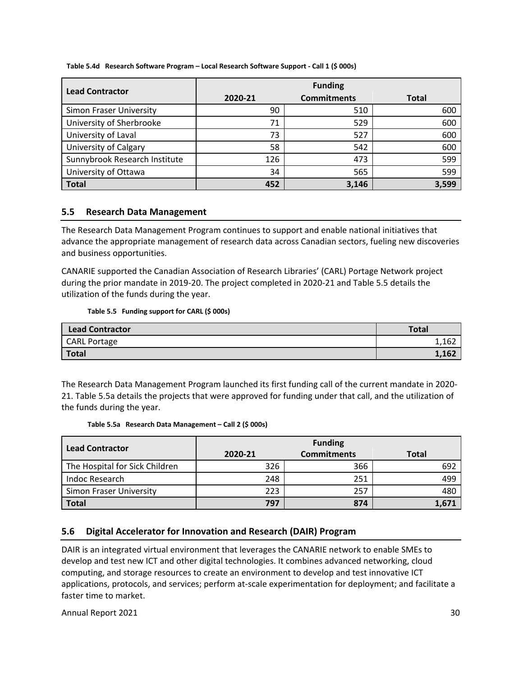**Table 5.4d Research Software Program – Local Research Software Support - Call 1 (\$ 000s)**

| <b>Lead Contractor</b>         | <b>Funding</b> |                    |              |
|--------------------------------|----------------|--------------------|--------------|
|                                | 2020-21        | <b>Commitments</b> | <b>Total</b> |
| <b>Simon Fraser University</b> | 90             | 510                | 600          |
| University of Sherbrooke       | 71             | 529                | 600          |
| University of Laval            | 73             | 527                | 600          |
| <b>University of Calgary</b>   | 58             | 542                | 600          |
| Sunnybrook Research Institute  | 126            | 473                | 599          |
| University of Ottawa           | 34             | 565                | 599          |
| <b>Total</b>                   | 452            | 3,146              | 3,599        |

## **5.5 Research Data Management**

The Research Data Management Program continues to support and enable national initiatives that advance the appropriate management of research data across Canadian sectors, fueling new discoveries and business opportunities.

CANARIE supported the Canadian Association of Research Libraries' (CARL) Portage Network project during the prior mandate in 2019-20. The project completed in 2020-21 and Table 5.5 details the utilization of the funds during the year.

#### **Table 5.5 Funding support for CARL (\$ 000s)**

| <b>Lead Contractor</b> | <b>Total</b> |
|------------------------|--------------|
| <b>CARL Portage</b>    | 1,162        |
| <b>Total</b>           | 1,162        |

The Research Data Management Program launched its first funding call of the current mandate in 2020- 21. Table 5.5a details the projects that were approved for funding under that call, and the utilization of the funds during the year.

#### **Table 5.5a Research Data Management – Call 2 (\$ 000s)**

|                                | <b>Funding</b> |                    |              |
|--------------------------------|----------------|--------------------|--------------|
| <b>Lead Contractor</b>         | 2020-21        | <b>Commitments</b> | <b>Total</b> |
| The Hospital for Sick Children | 326            | 366                | 692          |
| Indoc Research                 | 248            | 251                | 499          |
| <b>Simon Fraser University</b> | 223            | 257                | 480          |
| <b>Total</b>                   | 797            | 874                | 1,671        |

#### **5.6 Digital Accelerator for Innovation and Research (DAIR) Program**

DAIR is an integrated virtual environment that leverages the CANARIE network to enable SMEs to develop and test new ICT and other digital technologies. It combines advanced networking, cloud computing, and storage resources to create an environment to develop and test innovative ICT applications, protocols, and services; perform at-scale experimentation for deployment; and facilitate a faster time to market.

Annual Report 2021 30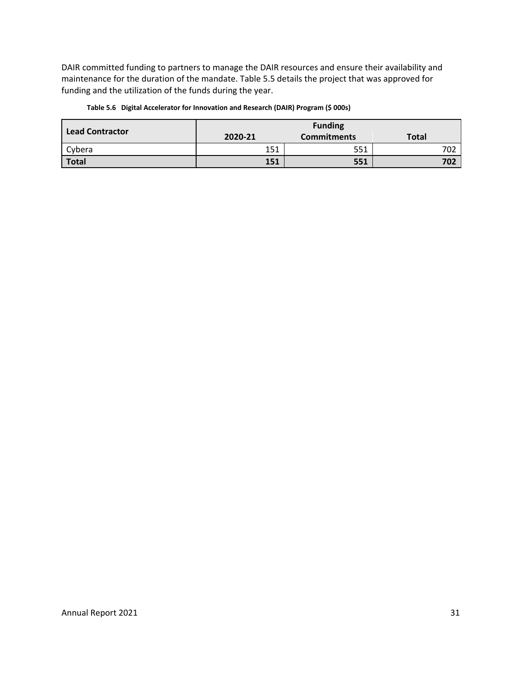DAIR committed funding to partners to manage the DAIR resources and ensure their availability and maintenance for the duration of the mandate. Table 5.5 details the project that was approved for funding and the utilization of the funds during the year.

| <b>Lead Contractor</b> | <b>Funding</b> |                    |              |
|------------------------|----------------|--------------------|--------------|
|                        | 2020-21        | <b>Commitments</b> | <b>Total</b> |
| Cybera                 | 151            | 551                | 702          |
| <b>Total</b>           | 151            | 551                | 702          |

#### **Table 5.6 Digital Accelerator for Innovation and Research (DAIR) Program (\$ 000s)**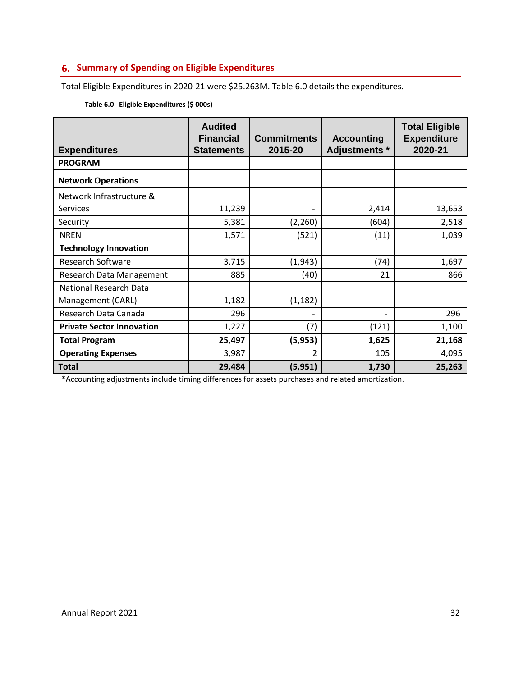# <span id="page-33-0"></span>**Summary of Spending on Eligible Expenditures**

Total Eligible Expenditures in 2020-21 were \$25.263M. Table 6.0 details the expenditures.

| <b>Expenditures</b>              | <b>Audited</b><br><b>Financial</b><br><b>Statements</b> | <b>Commitments</b><br>2015-20 | <b>Accounting</b><br>Adjustments * | <b>Total Eligible</b><br><b>Expenditure</b><br>2020-21 |
|----------------------------------|---------------------------------------------------------|-------------------------------|------------------------------------|--------------------------------------------------------|
| <b>PROGRAM</b>                   |                                                         |                               |                                    |                                                        |
| <b>Network Operations</b>        |                                                         |                               |                                    |                                                        |
| Network Infrastructure &         |                                                         |                               |                                    |                                                        |
| Services                         | 11,239                                                  |                               | 2,414                              | 13,653                                                 |
| Security                         | 5,381                                                   | (2,260)                       | (604)                              | 2,518                                                  |
| <b>NREN</b>                      | 1,571                                                   | (521)                         | (11)                               | 1,039                                                  |
| <b>Technology Innovation</b>     |                                                         |                               |                                    |                                                        |
| <b>Research Software</b>         | 3,715                                                   | (1,943)                       | (74)                               | 1,697                                                  |
| Research Data Management         | 885                                                     | (40)                          | 21                                 | 866                                                    |
| National Research Data           |                                                         |                               |                                    |                                                        |
| Management (CARL)                | 1,182                                                   | (1, 182)                      | $\overline{\phantom{a}}$           |                                                        |
| Research Data Canada             | 296                                                     |                               |                                    | 296                                                    |
| <b>Private Sector Innovation</b> | 1,227                                                   | (7)                           | (121)                              | 1,100                                                  |
| <b>Total Program</b>             | 25,497                                                  | (5,953)                       | 1,625                              | 21,168                                                 |
| <b>Operating Expenses</b>        | 3,987                                                   | $\mathcal{P}$                 | 105                                | 4,095                                                  |
| <b>Total</b>                     | 29,484                                                  | (5,951)                       | 1,730                              | 25,263                                                 |

#### **Table 6.0 Eligible Expenditures (\$ 000s)**

\*Accounting adjustments include timing differences for assets purchases and related amortization.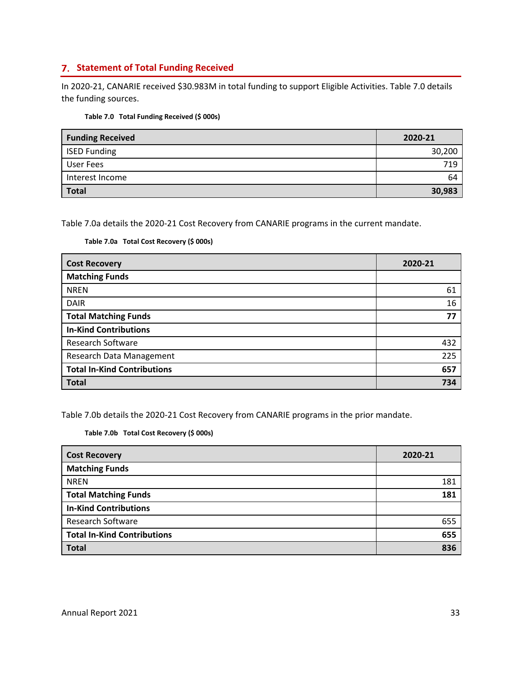## <span id="page-34-0"></span>**Statement of Total Funding Received**

In 2020-21, CANARIE received \$30.983M in total funding to support Eligible Activities. Table 7.0 details the funding sources.

|  | Table 7.0 Total Funding Received (\$ 000s) |  |
|--|--------------------------------------------|--|
|--|--------------------------------------------|--|

| <b>Funding Received</b> | 2020-21 |
|-------------------------|---------|
| <b>ISED Funding</b>     | 30,200  |
| <b>User Fees</b>        | 719     |
| Interest Income         | 64      |
| <b>Total</b>            | 30,983  |

Table 7.0a details the 2020-21 Cost Recovery from CANARIE programs in the current mandate.

#### **Table 7.0a Total Cost Recovery (\$ 000s)**

| <b>Cost Recovery</b>               | 2020-21 |
|------------------------------------|---------|
| <b>Matching Funds</b>              |         |
| <b>NREN</b>                        | 61      |
| <b>DAIR</b>                        | 16      |
| <b>Total Matching Funds</b>        | 77      |
| <b>In-Kind Contributions</b>       |         |
| <b>Research Software</b>           | 432     |
| Research Data Management           | 225     |
| <b>Total In-Kind Contributions</b> | 657     |
| <b>Total</b>                       | 734     |

Table 7.0b details the 2020-21 Cost Recovery from CANARIE programs in the prior mandate.

**Table 7.0b Total Cost Recovery (\$ 000s)**

| <b>Cost Recovery</b>               | 2020-21 |
|------------------------------------|---------|
| <b>Matching Funds</b>              |         |
| <b>NREN</b>                        | 181     |
| <b>Total Matching Funds</b>        | 181     |
| <b>In-Kind Contributions</b>       |         |
| <b>Research Software</b>           | 655     |
| <b>Total In-Kind Contributions</b> | 655     |
| <b>Total</b>                       | 836     |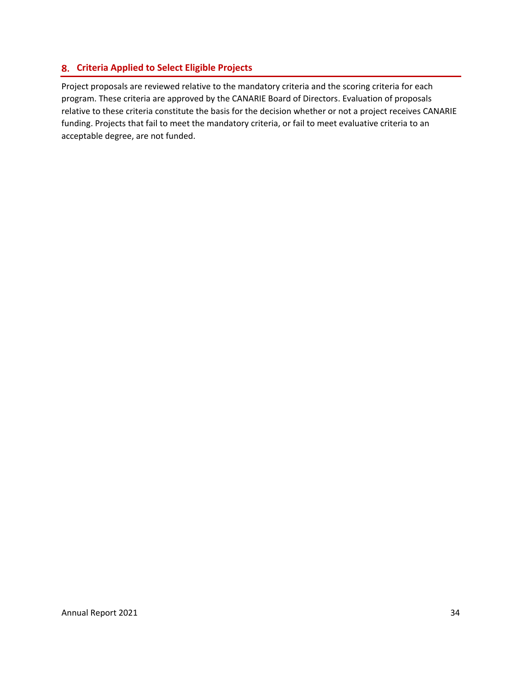## <span id="page-35-0"></span>**Criteria Applied to Select Eligible Projects**

Project proposals are reviewed relative to the mandatory criteria and the scoring criteria for each program. These criteria are approved by the CANARIE Board of Directors. Evaluation of proposals relative to these criteria constitute the basis for the decision whether or not a project receives CANARIE funding. Projects that fail to meet the mandatory criteria, or fail to meet evaluative criteria to an acceptable degree, are not funded.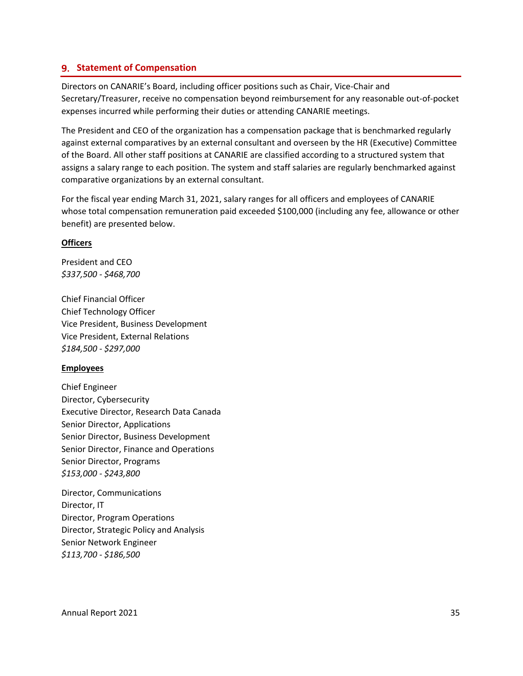#### <span id="page-36-0"></span>**9. Statement of Compensation**

Directors on CANARIE's Board, including officer positions such as Chair, Vice-Chair and Secretary/Treasurer, receive no compensation beyond reimbursement for any reasonable out-of-pocket expenses incurred while performing their duties or attending CANARIE meetings.

The President and CEO of the organization has a compensation package that is benchmarked regularly against external comparatives by an external consultant and overseen by the HR (Executive) Committee of the Board. All other staff positions at CANARIE are classified according to a structured system that assigns a salary range to each position. The system and staff salaries are regularly benchmarked against comparative organizations by an external consultant.

For the fiscal year ending March 31, 2021, salary ranges for all officers and employees of CANARIE whose total compensation remuneration paid exceeded \$100,000 (including any fee, allowance or other benefit) are presented below.

#### **Officers**

President and CEO *\$337,500 - \$468,700*

Chief Financial Officer Chief Technology Officer Vice President, Business Development Vice President, External Relations *\$184,500 - \$297,000*

#### **Employees**

Chief Engineer Director, Cybersecurity Executive Director, Research Data Canada Senior Director, Applications Senior Director, Business Development Senior Director, Finance and Operations Senior Director, Programs *\$153,000 - \$243,800*

Director, Communications Director, IT Director, Program Operations Director, Strategic Policy and Analysis Senior Network Engineer *\$113,700 - \$186,500*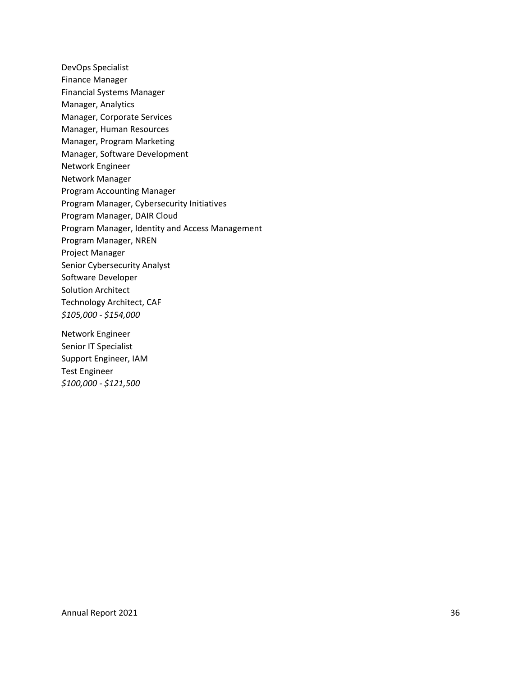DevOps Specialist Finance Manager Financial Systems Manager Manager, Analytics Manager, Corporate Services Manager, Human Resources Manager, Program Marketing Manager, Software Development Network Engineer Network Manager Program Accounting Manager Program Manager, Cybersecurity Initiatives Program Manager, DAIR Cloud Program Manager, Identity and Access Management Program Manager, NREN Project Manager Senior Cybersecurity Analyst Software Developer Solution Architect Technology Architect, CAF *\$105,000 - \$154,000*

Network Engineer Senior IT Specialist Support Engineer, IAM Test Engineer *\$100,000 - \$121,500*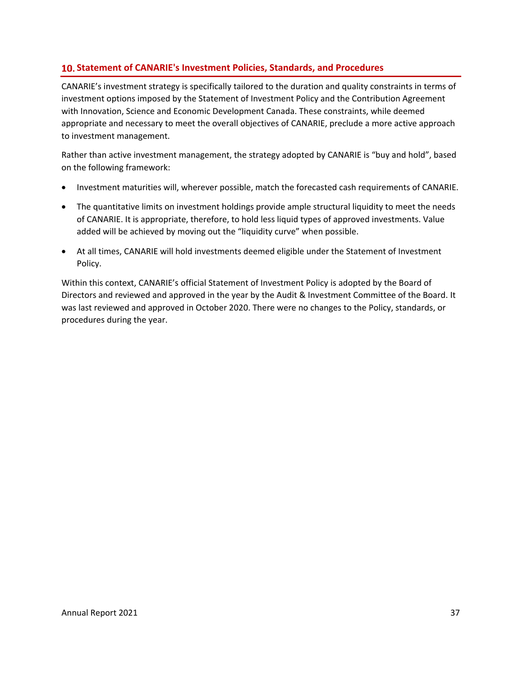## <span id="page-38-0"></span>**Statement of CANARIE's Investment Policies, Standards, and Procedures**

CANARIE's investment strategy is specifically tailored to the duration and quality constraints in terms of investment options imposed by the Statement of Investment Policy and the Contribution Agreement with Innovation, Science and Economic Development Canada. These constraints, while deemed appropriate and necessary to meet the overall objectives of CANARIE, preclude a more active approach to investment management.

Rather than active investment management, the strategy adopted by CANARIE is "buy and hold", based on the following framework:

- Investment maturities will, wherever possible, match the forecasted cash requirements of CANARIE.
- The quantitative limits on investment holdings provide ample structural liquidity to meet the needs of CANARIE. It is appropriate, therefore, to hold less liquid types of approved investments. Value added will be achieved by moving out the "liquidity curve" when possible.
- At all times, CANARIE will hold investments deemed eligible under the Statement of Investment Policy.

Within this context, CANARIE's official Statement of Investment Policy is adopted by the Board of Directors and reviewed and approved in the year by the Audit & Investment Committee of the Board. It was last reviewed and approved in October 2020. There were no changes to the Policy, standards, or procedures during the year.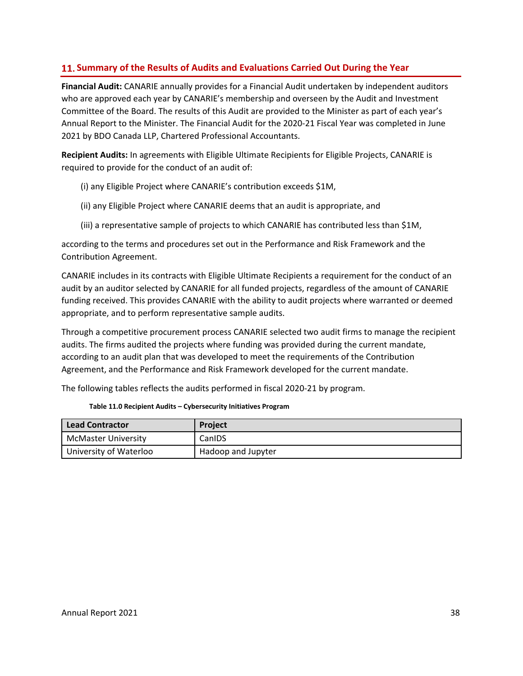## <span id="page-39-0"></span>**Summary of the Results of Audits and Evaluations Carried Out During the Year**

**Financial Audit:** CANARIE annually provides for a Financial Audit undertaken by independent auditors who are approved each year by CANARIE's membership and overseen by the Audit and Investment Committee of the Board. The results of this Audit are provided to the Minister as part of each year's Annual Report to the Minister. The Financial Audit for the 2020-21 Fiscal Year was completed in June 2021 by BDO Canada LLP, Chartered Professional Accountants.

**Recipient Audits:** In agreements with Eligible Ultimate Recipients for Eligible Projects, CANARIE is required to provide for the conduct of an audit of:

(i) any Eligible Project where CANARIE's contribution exceeds \$1M,

(ii) any Eligible Project where CANARIE deems that an audit is appropriate, and

(iii) a representative sample of projects to which CANARIE has contributed less than \$1M,

according to the terms and procedures set out in the Performance and Risk Framework and the Contribution Agreement.

CANARIE includes in its contracts with Eligible Ultimate Recipients a requirement for the conduct of an audit by an auditor selected by CANARIE for all funded projects, regardless of the amount of CANARIE funding received. This provides CANARIE with the ability to audit projects where warranted or deemed appropriate, and to perform representative sample audits.

Through a competitive procurement process CANARIE selected two audit firms to manage the recipient audits. The firms audited the projects where funding was provided during the current mandate, according to an audit plan that was developed to meet the requirements of the Contribution Agreement, and the Performance and Risk Framework developed for the current mandate.

The following tables reflects the audits performed in fiscal 2020-21 by program.

| Lead Contractor            | Project            |
|----------------------------|--------------------|
| <b>McMaster University</b> | CanIDS             |
| University of Waterloo     | Hadoop and Jupyter |

 **Table 11.0 Recipient Audits – Cybersecurity Initiatives Program**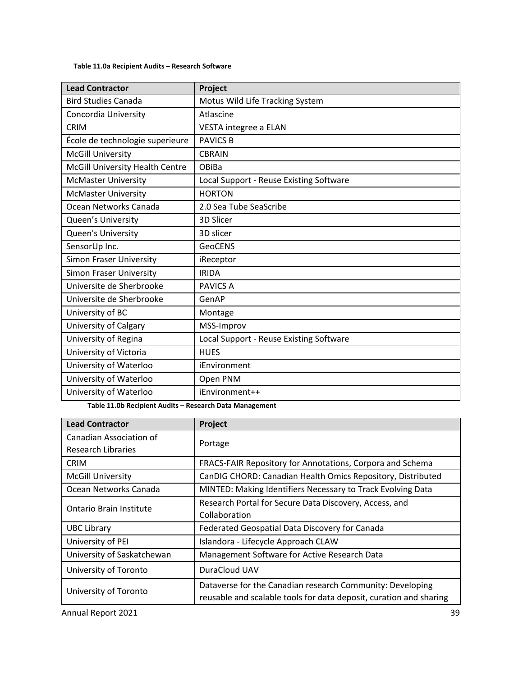#### **Table 11.0a Recipient Audits – Research Software**

| <b>Lead Contractor</b>          | Project                                 |
|---------------------------------|-----------------------------------------|
| <b>Bird Studies Canada</b>      | Motus Wild Life Tracking System         |
| Concordia University            | Atlascine                               |
| <b>CRIM</b>                     | VESTA integree a ELAN                   |
| École de technologie superieure | <b>PAVICS B</b>                         |
| <b>McGill University</b>        | <b>CBRAIN</b>                           |
| McGill University Health Centre | OBiBa                                   |
| <b>McMaster University</b>      | Local Support - Reuse Existing Software |
| <b>McMaster University</b>      | <b>HORTON</b>                           |
| Ocean Networks Canada           | 2.0 Sea Tube SeaScribe                  |
| Queen's University              | 3D Slicer                               |
| <b>Queen's University</b>       | 3D slicer                               |
| SensorUp Inc.                   | <b>GeoCENS</b>                          |
| <b>Simon Fraser University</b>  | iReceptor                               |
| <b>Simon Fraser University</b>  | <b>IRIDA</b>                            |
| Universite de Sherbrooke        | <b>PAVICS A</b>                         |
| Universite de Sherbrooke        | GenAP                                   |
| University of BC                | Montage                                 |
| University of Calgary           | MSS-Improv                              |
| University of Regina            | Local Support - Reuse Existing Software |
| University of Victoria          | <b>HUES</b>                             |
| University of Waterloo          | iEnvironment                            |
| University of Waterloo          | Open PNM                                |
| University of Waterloo          | iEnvironment++                          |

 **Table 11.0b Recipient Audits – Research Data Management** 

| <b>Lead Contractor</b>         | Project                                                            |
|--------------------------------|--------------------------------------------------------------------|
| Canadian Association of        | Portage                                                            |
| Research Libraries             |                                                                    |
| <b>CRIM</b>                    | FRACS-FAIR Repository for Annotations, Corpora and Schema          |
| <b>McGill University</b>       | CanDIG CHORD: Canadian Health Omics Repository, Distributed        |
| Ocean Networks Canada          | MINTED: Making Identifiers Necessary to Track Evolving Data        |
| <b>Ontario Brain Institute</b> | Research Portal for Secure Data Discovery, Access, and             |
|                                | Collaboration                                                      |
| <b>UBC Library</b>             | Federated Geospatial Data Discovery for Canada                     |
| University of PEI              | Islandora - Lifecycle Approach CLAW                                |
| University of Saskatchewan     | Management Software for Active Research Data                       |
| University of Toronto          | DuraCloud UAV                                                      |
| University of Toronto          | Dataverse for the Canadian research Community: Developing          |
|                                | reusable and scalable tools for data deposit, curation and sharing |

Annual Report 2021 39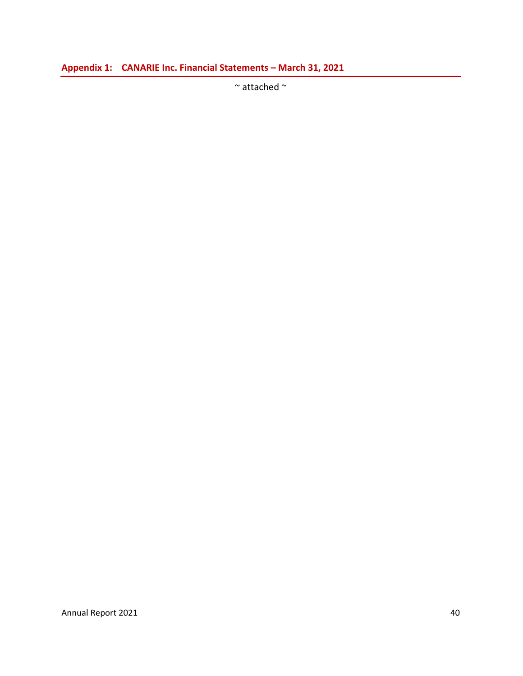<span id="page-41-0"></span>**Appendix 1: CANARIE Inc. Financial Statements – March 31, 2021** 

 $\sim$  attached  $\sim$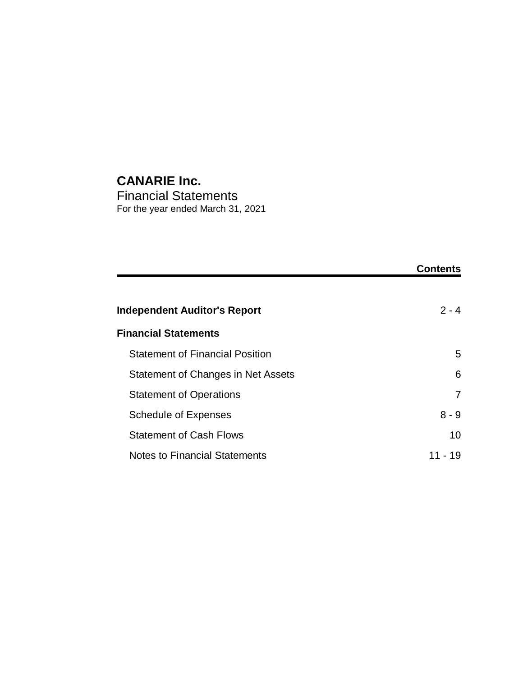# **CANARIE Inc.**

Financial Statements For the year ended March 31, 2021

|                                        | <b>Contents</b> |
|----------------------------------------|-----------------|
| <b>Independent Auditor's Report</b>    | $2 - 4$         |
| <b>Financial Statements</b>            |                 |
| <b>Statement of Financial Position</b> | 5               |
| Statement of Changes in Net Assets     | 6               |
| <b>Statement of Operations</b>         | 7               |
| <b>Schedule of Expenses</b>            | $8 - 9$         |
| <b>Statement of Cash Flows</b>         | 10              |
| <b>Notes to Financial Statements</b>   | 11 - 19         |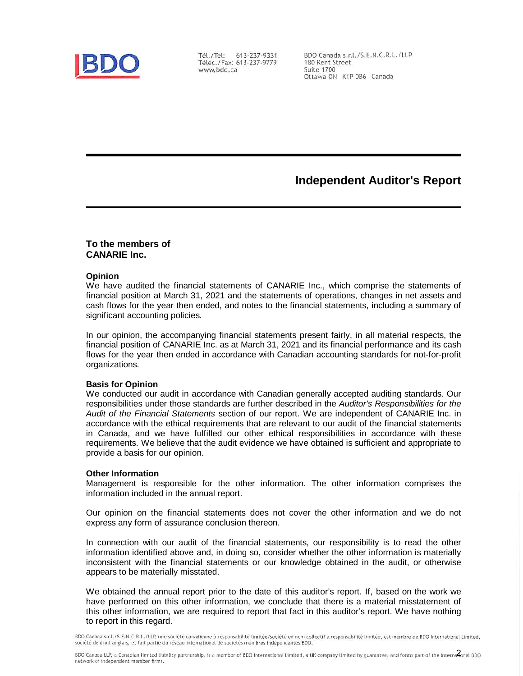

Tél./Tel: 613-237-9331 Téléc./Fax: 613-237-9779 www.bdo.ca

BDO Canada s.r.l./S.E.N.C.R.L./LLP 180 Kent Street Suite 1700 Ottawa ON K1P 0B6 Canada

# **Independent Auditor's Report**

#### **To the members of CANARIE Inc.**

#### **Opinion**

We have audited the financial statements of CANARIE Inc., which comprise the statements of financial position at March 31, 2021 and the statements of operations, changes in net assets and cash flows for the year then ended, and notes to the financial statements, including a summary of significant accounting policies.

In our opinion, the accompanying financial statements present fairly, in all material respects, the financial position of CANARIE Inc. as at March 31, 2021 and its financial performance and its cash flows for the year then ended in accordance with Canadian accounting standards for not-for-profit organizations.

#### **Basis for Opinion**

We conducted our audit in accordance with Canadian generally accepted auditing standards. Our responsibilities under those standards are further described in the *Auditor's Responsibilities for the Audit of the Financial Statements* section of our report. We are independent of CANARIE Inc. in accordance with the ethical requirements that are relevant to our audit of the financial statements in Canada, and we have fulfilled our other ethical responsibilities in accordance with these requirements. We believe that the audit evidence we have obtained is sufficient and appropriate to provide a basis for our opinion.

#### **Other Information**

Management is responsible for the other information. The other information comprises the information included in the annual report.

Our opinion on the financial statements does not cover the other information and we do not express any form of assurance conclusion thereon.

In connection with our audit of the financial statements, our responsibility is to read the other information identified above and, in doing so, consider whether the other information is materially inconsistent with the financial statements or our knowledge obtained in the audit, or otherwise appears to be materially misstated.

We obtained the annual report prior to the date of this auditor's report. If, based on the work we have performed on this other information, we conclude that there is a material misstatement of this other information, we are required to report that fact in this auditor's report. We have nothing to report in this regard.

BDO Canada s.r.l./S.E.N.C.R.L./LLP, une société canadienne à responsabilité limitée/société en nom collectif à responsabilité limitée, est membre de BDO International Limited, société de droit anglais, et fait partie du réseau international de sociétés membres indépendantes BDO.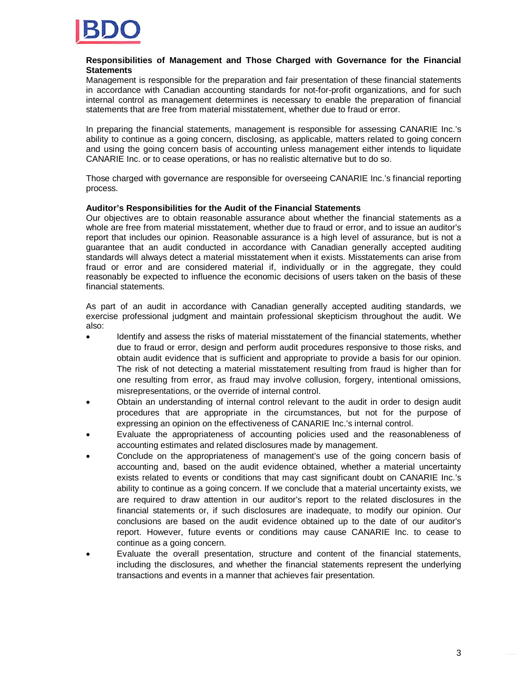

#### **Responsibilities of Management and Those Charged with Governance for the Financial Statements**

Management is responsible for the preparation and fair presentation of these financial statements in accordance with Canadian accounting standards for not-for-profit organizations, and for such internal control as management determines is necessary to enable the preparation of financial statements that are free from material misstatement, whether due to fraud or error.

In preparing the financial statements, management is responsible for assessing CANARIE Inc.'s ability to continue as a going concern, disclosing, as applicable, matters related to going concern and using the going concern basis of accounting unless management either intends to liquidate CANARIE Inc. or to cease operations, or has no realistic alternative but to do so.

Those charged with governance are responsible for overseeing CANARIE Inc.'s financial reporting process.

#### **Auditor's Responsibilities for the Audit of the Financial Statements**

Our objectives are to obtain reasonable assurance about whether the financial statements as a whole are free from material misstatement, whether due to fraud or error, and to issue an auditor's report that includes our opinion. Reasonable assurance is a high level of assurance, but is not a guarantee that an audit conducted in accordance with Canadian generally accepted auditing standards will always detect a material misstatement when it exists. Misstatements can arise from fraud or error and are considered material if, individually or in the aggregate, they could reasonably be expected to influence the economic decisions of users taken on the basis of these financial statements.

As part of an audit in accordance with Canadian generally accepted auditing standards, we exercise professional judgment and maintain professional skepticism throughout the audit. We also:

- · Identify and assess the risks of material misstatement of the financial statements, whether due to fraud or error, design and perform audit procedures responsive to those risks, and obtain audit evidence that is sufficient and appropriate to provide a basis for our opinion. The risk of not detecting a material misstatement resulting from fraud is higher than for one resulting from error, as fraud may involve collusion, forgery, intentional omissions, misrepresentations, or the override of internal control.
- · Obtain an understanding of internal control relevant to the audit in order to design audit procedures that are appropriate in the circumstances, but not for the purpose of expressing an opinion on the effectiveness of CANARIE Inc.'s internal control.
- · Evaluate the appropriateness of accounting policies used and the reasonableness of accounting estimates and related disclosures made by management.
- · Conclude on the appropriateness of management's use of the going concern basis of accounting and, based on the audit evidence obtained, whether a material uncertainty exists related to events or conditions that may cast significant doubt on CANARIE Inc.'s ability to continue as a going concern. If we conclude that a material uncertainty exists, we are required to draw attention in our auditor's report to the related disclosures in the financial statements or, if such disclosures are inadequate, to modify our opinion. Our conclusions are based on the audit evidence obtained up to the date of our auditor's report. However, future events or conditions may cause CANARIE Inc. to cease to continue as a going concern.
- Evaluate the overall presentation, structure and content of the financial statements, including the disclosures, and whether the financial statements represent the underlying transactions and events in a manner that achieves fair presentation.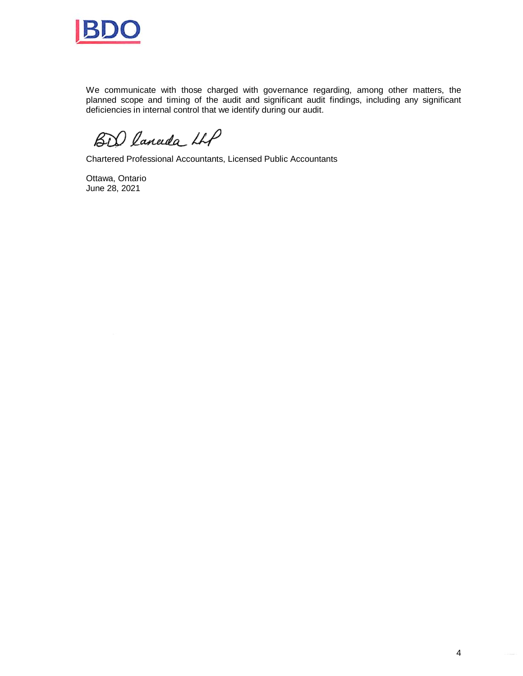

We communicate with those charged with governance regarding, among other matters, the planned scope and timing of the audit and significant audit findings, including any significant deficiencies in internal control that we identify during our audit.

BD laneda LLP

Chartered Professional Accountants, Licensed Public Accountants

Ottawa, Ontario June 28, 2021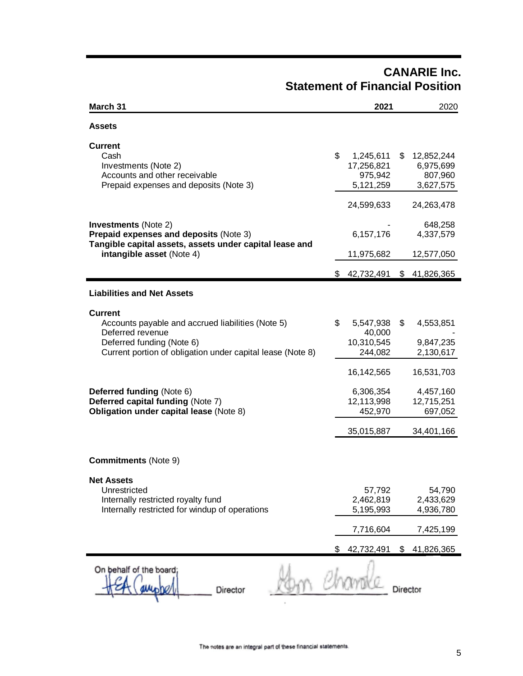# **CANARIE Inc. Statement of Financial Position**

| March 31                                                                                                                                                                                                                                                                                               |    | 2021                                                                                             | 2020                                                                                          |
|--------------------------------------------------------------------------------------------------------------------------------------------------------------------------------------------------------------------------------------------------------------------------------------------------------|----|--------------------------------------------------------------------------------------------------|-----------------------------------------------------------------------------------------------|
| <b>Assets</b>                                                                                                                                                                                                                                                                                          |    |                                                                                                  |                                                                                               |
| <b>Current</b><br>Cash<br>Investments (Note 2)<br>Accounts and other receivable<br>Prepaid expenses and deposits (Note 3)                                                                                                                                                                              | \$ | 1,245,611<br>17,256,821<br>975,942<br>5,121,259                                                  | \$<br>12,852,244<br>6,975,699<br>807,960<br>3,627,575                                         |
| <b>Investments (Note 2)</b><br>Prepaid expenses and deposits (Note 3)<br>Tangible capital assets, assets under capital lease and<br>intangible asset (Note 4)                                                                                                                                          |    | 24,599,633<br>6,157,176<br>11,975,682                                                            | 24,263,478<br>648,258<br>4,337,579<br>12,577,050                                              |
|                                                                                                                                                                                                                                                                                                        | S. | 42,732,491                                                                                       | \$<br>41,826,365                                                                              |
| <b>Liabilities and Net Assets</b>                                                                                                                                                                                                                                                                      |    |                                                                                                  |                                                                                               |
| <b>Current</b><br>Accounts payable and accrued liabilities (Note 5)<br>Deferred revenue<br>Deferred funding (Note 6)<br>Current portion of obligation under capital lease (Note 8)<br>Deferred funding (Note 6)<br>Deferred capital funding (Note 7)<br><b>Obligation under capital lease (Note 8)</b> | \$ | 5,547,938<br>40,000<br>10,310,545<br>244,082<br>16,142,565<br>6,306,354<br>12,113,998<br>452,970 | \$<br>4,553,851<br>9,847,235<br>2,130,617<br>16,531,703<br>4,457,160<br>12,715,251<br>697,052 |
| <b>Commitments (Note 9)</b><br><b>Net Assets</b><br>Unrestricted<br>Internally restricted royalty fund<br>Internally restricted for windup of operations                                                                                                                                               |    | 35,015,887<br>57,792<br>2,462,819<br>5,195,993<br>7,716,604                                      | 34,401,166<br>54,790<br>2,433,629<br>4,936,780<br>7,425,199                                   |
|                                                                                                                                                                                                                                                                                                        |    | 42,732,491                                                                                       | \$<br>41,826,365                                                                              |
| On behalf of the board;<br><b>Director</b>                                                                                                                                                                                                                                                             |    |                                                                                                  | Director                                                                                      |

 $\cdot$ 

٣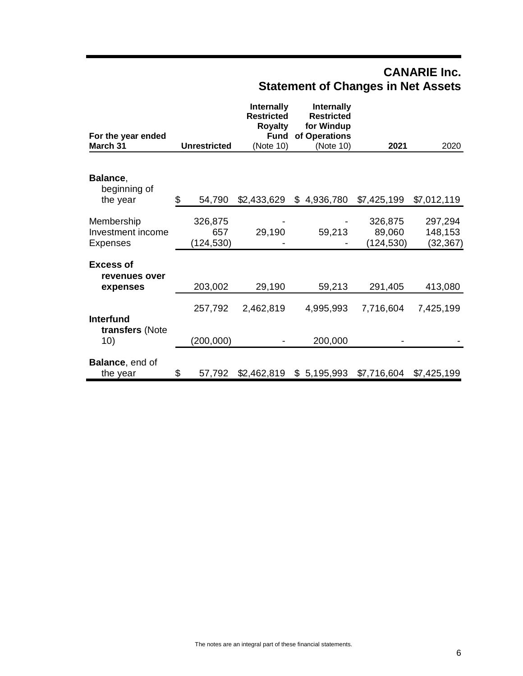# **CANARIE Inc. Statement of Changes in Net Assets**

| For the year ended<br>March 31                | <b>Unrestricted</b> | <b>Internally</b><br><b>Restricted</b><br><b>Royalty</b><br><b>Fund</b><br>(Note 10) | Internally<br><b>Restricted</b><br>for Windup<br>of Operations<br>(Note 10) | 2021              | 2020               |
|-----------------------------------------------|---------------------|--------------------------------------------------------------------------------------|-----------------------------------------------------------------------------|-------------------|--------------------|
|                                               |                     |                                                                                      |                                                                             |                   |                    |
| Balance,<br>beginning of                      |                     |                                                                                      |                                                                             |                   |                    |
| the year                                      | \$<br>54,790        | \$2,433,629                                                                          | \$<br>4,936,780                                                             | \$7,425,199       | \$7,012,119        |
| Membership<br>Investment income               | 326,875<br>657      | 29,190                                                                               | 59,213                                                                      | 326,875<br>89,060 | 297,294<br>148,153 |
| <b>Expenses</b>                               | (124, 530)          |                                                                                      |                                                                             | (124, 530)        | (32, 367)          |
| <b>Excess of</b><br>revenues over<br>expenses | 203,002             | 29,190                                                                               | 59,213                                                                      | 291,405           | 413,080            |
| <b>Interfund</b><br>transfers (Note           | 257,792             | 2,462,819                                                                            | 4,995,993                                                                   | 7,716,604         | 7,425,199          |
| 10)                                           | (200, 000)          |                                                                                      | 200,000                                                                     |                   |                    |
| <b>Balance, end of</b><br>the year            | \$<br>57,792        | \$2,462,819                                                                          | \$5,195,993                                                                 | \$7,716,604       | \$7,425,199        |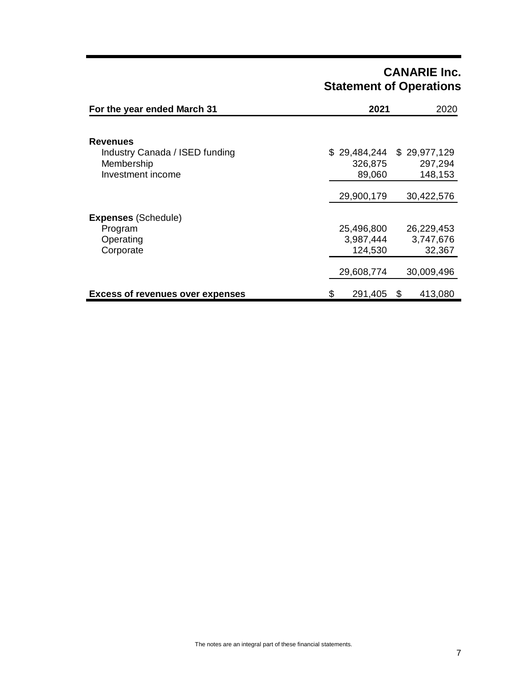# **CANARIE Inc. Statement of Operations**

| For the year ended March 31                       | 2021          | 2020                      |
|---------------------------------------------------|---------------|---------------------------|
| <b>Revenues</b><br>Industry Canada / ISED funding |               | \$29,484,244 \$29,977,129 |
| Membership                                        | 326,875       | 297,294                   |
| Investment income                                 | 89,060        | 148,153                   |
|                                                   | 29,900,179    | 30,422,576                |
| <b>Expenses (Schedule)</b>                        |               |                           |
| Program                                           | 25,496,800    | 26,229,453                |
| Operating                                         | 3,987,444     | 3,747,676                 |
| Corporate                                         | 124,530       | 32,367                    |
|                                                   | 29,608,774    | 30,009,496                |
| <b>Excess of revenues over expenses</b>           | \$<br>291,405 | 413,080<br>\$             |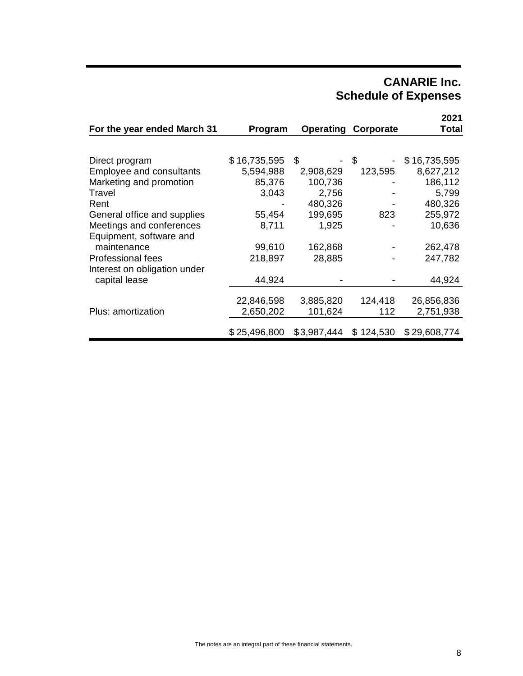# **CANARIE Inc. Schedule of Expenses**

| For the year ended March 31  | Program      |             | <b>Operating Corporate</b> | 2021<br>Total |
|------------------------------|--------------|-------------|----------------------------|---------------|
|                              |              |             |                            |               |
| Direct program               | \$16,735,595 | S           | \$                         | \$16,735,595  |
| Employee and consultants     | 5,594,988    | 2,908,629   | 123,595                    | 8,627,212     |
| Marketing and promotion      | 85,376       | 100,736     |                            | 186,112       |
| Travel                       | 3,043        | 2,756       |                            | 5,799         |
| Rent                         |              | 480,326     |                            | 480,326       |
| General office and supplies  | 55,454       | 199,695     | 823                        | 255,972       |
| Meetings and conferences     | 8,711        | 1,925       |                            | 10,636        |
| Equipment, software and      |              |             |                            |               |
| maintenance                  | 99,610       | 162,868     |                            | 262,478       |
| <b>Professional fees</b>     | 218,897      | 28,885      |                            | 247,782       |
| Interest on obligation under |              |             |                            |               |
| capital lease                | 44,924       |             |                            | 44,924        |
|                              |              |             |                            |               |
|                              | 22,846,598   | 3,885,820   | 124,418                    | 26,856,836    |
| Plus: amortization           | 2,650,202    | 101,624     | 112                        | 2,751,938     |
|                              | \$25,496,800 | \$3,987,444 | \$124,530                  | \$29,608,774  |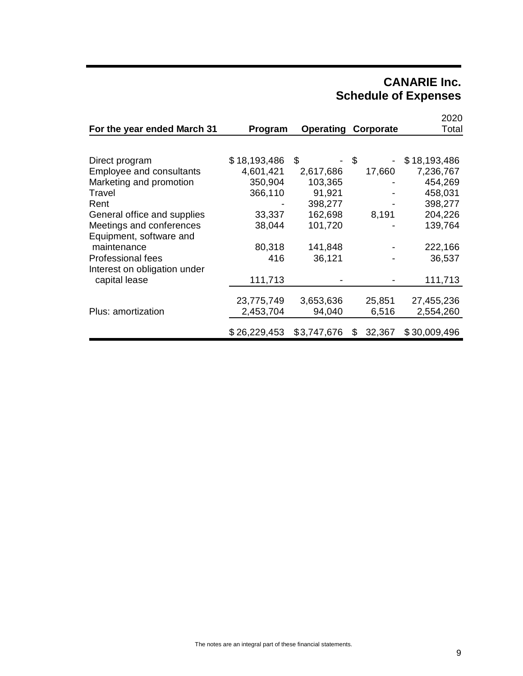# **CANARIE Inc. Schedule of Expenses**

|                              |              |             |              | 2020         |
|------------------------------|--------------|-------------|--------------|--------------|
| For the year ended March 31  | Program      | Operating   | Corporate    | Total        |
|                              |              |             |              |              |
| Direct program               | \$18,193,486 | S           | -\$          | \$18,193,486 |
| Employee and consultants     | 4,601,421    | 2,617,686   | 17,660       | 7,236,767    |
| Marketing and promotion      | 350,904      | 103,365     |              | 454,269      |
| Travel                       | 366,110      | 91,921      |              | 458,031      |
| Rent                         |              | 398,277     |              | 398,277      |
| General office and supplies  | 33,337       | 162,698     | 8,191        | 204,226      |
| Meetings and conferences     | 38,044       | 101,720     |              | 139,764      |
| Equipment, software and      |              |             |              |              |
| maintenance                  | 80,318       | 141,848     |              | 222,166      |
| Professional fees            | 416          | 36,121      |              | 36,537       |
| Interest on obligation under |              |             |              |              |
| capital lease                | 111,713      |             |              | 111,713      |
|                              |              |             |              |              |
|                              | 23,775,749   | 3,653,636   | 25,851       | 27,455,236   |
| Plus: amortization           | 2,453,704    | 94,040      | 6,516        | 2,554,260    |
|                              | \$26,229,453 | \$3,747,676 | 32,367<br>\$ | \$30,009,496 |
|                              |              |             |              |              |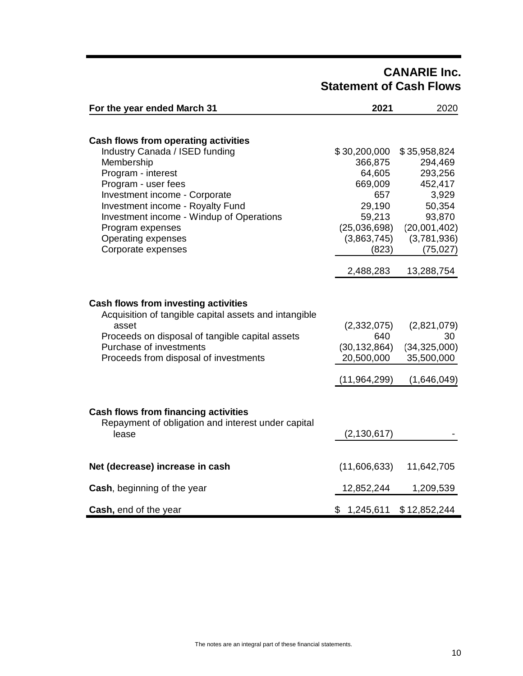# **CANARIE Inc. Statement of Cash Flows**

| For the year ended March 31                                                                                                                                                                                                   | 2021                                                                 | 2020                                                             |
|-------------------------------------------------------------------------------------------------------------------------------------------------------------------------------------------------------------------------------|----------------------------------------------------------------------|------------------------------------------------------------------|
|                                                                                                                                                                                                                               |                                                                      |                                                                  |
| Cash flows from operating activities                                                                                                                                                                                          |                                                                      |                                                                  |
| Industry Canada / ISED funding                                                                                                                                                                                                | \$30,200,000                                                         | \$35,958,824                                                     |
| Membership                                                                                                                                                                                                                    | 366,875                                                              | 294,469                                                          |
| Program - interest                                                                                                                                                                                                            | 64,605                                                               | 293,256                                                          |
| Program - user fees                                                                                                                                                                                                           | 669,009                                                              | 452,417                                                          |
| Investment income - Corporate                                                                                                                                                                                                 | 657                                                                  | 3,929                                                            |
| Investment income - Royalty Fund                                                                                                                                                                                              | 29,190                                                               | 50,354                                                           |
| Investment income - Windup of Operations                                                                                                                                                                                      | 59,213                                                               | 93,870                                                           |
| Program expenses                                                                                                                                                                                                              | (25,036,698)                                                         | (20,001,402)                                                     |
| <b>Operating expenses</b>                                                                                                                                                                                                     | (3,863,745)                                                          | (3,781,936)                                                      |
| Corporate expenses                                                                                                                                                                                                            | (823)                                                                | (75, 027)                                                        |
|                                                                                                                                                                                                                               | 2,488,283                                                            | 13,288,754                                                       |
| Cash flows from investing activities<br>Acquisition of tangible capital assets and intangible<br>asset<br>Proceeds on disposal of tangible capital assets<br>Purchase of investments<br>Proceeds from disposal of investments | (2,332,075)<br>640<br>(30, 132, 864)<br>20,500,000<br>(11, 964, 299) | (2,821,079)<br>30<br>(34, 325, 000)<br>35,500,000<br>(1,646,049) |
| <b>Cash flows from financing activities</b><br>Repayment of obligation and interest under capital<br>lease                                                                                                                    | (2, 130, 617)                                                        |                                                                  |
| Net (decrease) increase in cash                                                                                                                                                                                               | (11,606,633)                                                         | 11,642,705                                                       |
| <b>Cash, beginning of the year</b>                                                                                                                                                                                            | 12,852,244                                                           | 1,209,539                                                        |
| Cash, end of the year                                                                                                                                                                                                         | \$1,245,611                                                          | \$12,852,244                                                     |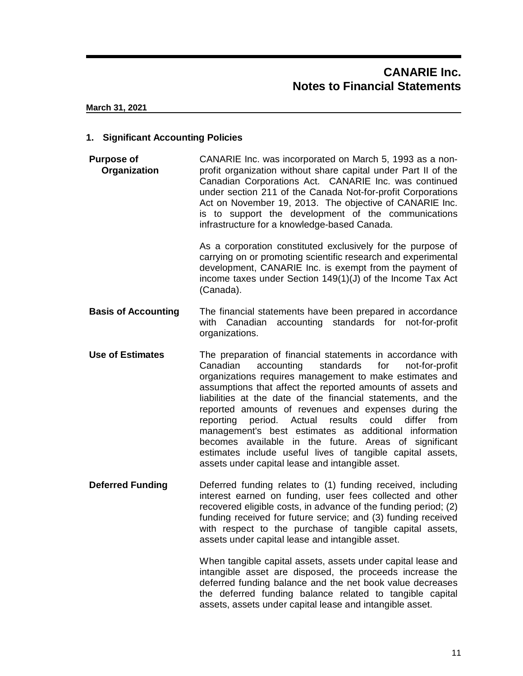#### **1. Significant Accounting Policies**

**Purpose of Organization** CANARIE Inc. was incorporated on March 5, 1993 as a nonprofit organization without share capital under Part II of the Canadian Corporations Act. CANARIE Inc. was continued under section 211 of the Canada Not-for-profit Corporations Act on November 19, 2013. The objective of CANARIE Inc. is to support the development of the communications infrastructure for a knowledge-based Canada.

> As a corporation constituted exclusively for the purpose of carrying on or promoting scientific research and experimental development, CANARIE Inc. is exempt from the payment of income taxes under Section 149(1)(J) of the Income Tax Act (Canada).

- **Basis of Accounting** The financial statements have been prepared in accordance with Canadian accounting standards for not-for-profit organizations.
- **Use of Estimates** The preparation of financial statements in accordance with Canadian accounting standards for not-for-profit organizations requires management to make estimates and assumptions that affect the reported amounts of assets and liabilities at the date of the financial statements, and the reported amounts of revenues and expenses during the reporting period. Actual results could differ from management's best estimates as additional information becomes available in the future. Areas of significant estimates include useful lives of tangible capital assets, assets under capital lease and intangible asset.
- **Deferred Funding** Deferred funding relates to (1) funding received, including interest earned on funding, user fees collected and other recovered eligible costs, in advance of the funding period; (2) funding received for future service; and (3) funding received with respect to the purchase of tangible capital assets, assets under capital lease and intangible asset.

When tangible capital assets, assets under capital lease and intangible asset are disposed, the proceeds increase the deferred funding balance and the net book value decreases the deferred funding balance related to tangible capital assets, assets under capital lease and intangible asset.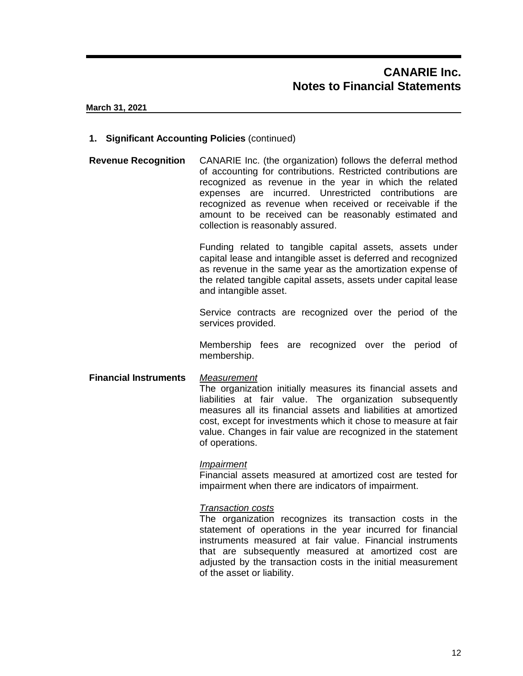#### **1. Significant Accounting Policies** (continued)

**Revenue Recognition** CANARIE Inc. (the organization) follows the deferral method of accounting for contributions. Restricted contributions are recognized as revenue in the year in which the related expenses are incurred. Unrestricted contributions are recognized as revenue when received or receivable if the amount to be received can be reasonably estimated and collection is reasonably assured.

> Funding related to tangible capital assets, assets under capital lease and intangible asset is deferred and recognized as revenue in the same year as the amortization expense of the related tangible capital assets, assets under capital lease and intangible asset.

> Service contracts are recognized over the period of the services provided.

> Membership fees are recognized over the period of membership.

**Financial Instruments** *Measurement* The organization initially measures its financial assets and liabilities at fair value. The organization subsequently measures all its financial assets and liabilities at amortized cost, except for investments which it chose to measure at fair value. Changes in fair value are recognized in the statement of operations.

#### *Impairment*

Financial assets measured at amortized cost are tested for impairment when there are indicators of impairment.

#### *Transaction costs*

The organization recognizes its transaction costs in the statement of operations in the year incurred for financial instruments measured at fair value. Financial instruments that are subsequently measured at amortized cost are adjusted by the transaction costs in the initial measurement of the asset or liability.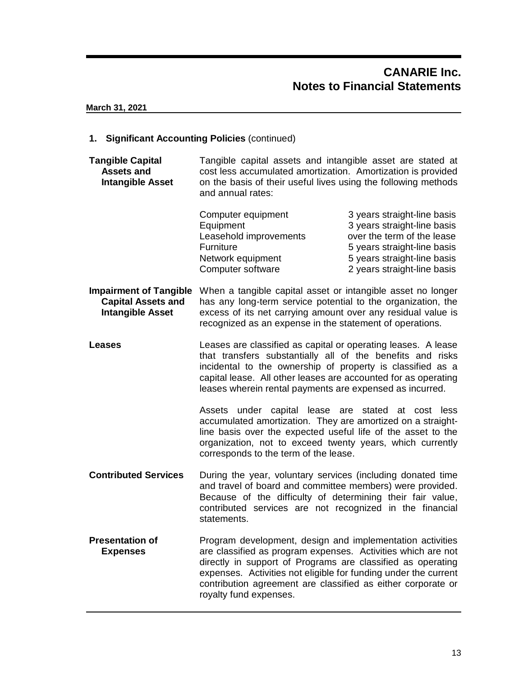#### **1. Significant Accounting Policies** (continued)

**Tangible Capital Assets and Intangible Asset** Tangible capital assets and intangible asset are stated at cost less accumulated amortization. Amortization is provided on the basis of their useful lives using the following methods and annual rates:

| Computer equipment                  | 3 years straight-line basis                               |
|-------------------------------------|-----------------------------------------------------------|
| Equipment<br>Leasehold improvements | 3 years straight-line basis<br>over the term of the lease |
| Furniture                           | 5 years straight-line basis                               |
| Network equipment                   | 5 years straight-line basis                               |
| Computer software                   | 2 years straight-line basis                               |

**Impairment of Tangible** When a tangible capital asset or intangible asset no longer **Capital Assets and Intangible Asset** has any long-term service potential to the organization, the excess of its net carrying amount over any residual value is recognized as an expense in the statement of operations.

**Leases** Leases are classified as capital or operating leases. A lease that transfers substantially all of the benefits and risks incidental to the ownership of property is classified as a capital lease. All other leases are accounted for as operating leases wherein rental payments are expensed as incurred.

> Assets under capital lease are stated at cost less accumulated amortization. They are amortized on a straightline basis over the expected useful life of the asset to the organization, not to exceed twenty years, which currently corresponds to the term of the lease.

- **Contributed Services** During the year, voluntary services (including donated time and travel of board and committee members) were provided. Because of the difficulty of determining their fair value, contributed services are not recognized in the financial statements.
- **Presentation of Expenses** Program development, design and implementation activities are classified as program expenses. Activities which are not directly in support of Programs are classified as operating expenses. Activities not eligible for funding under the current contribution agreement are classified as either corporate or royalty fund expenses.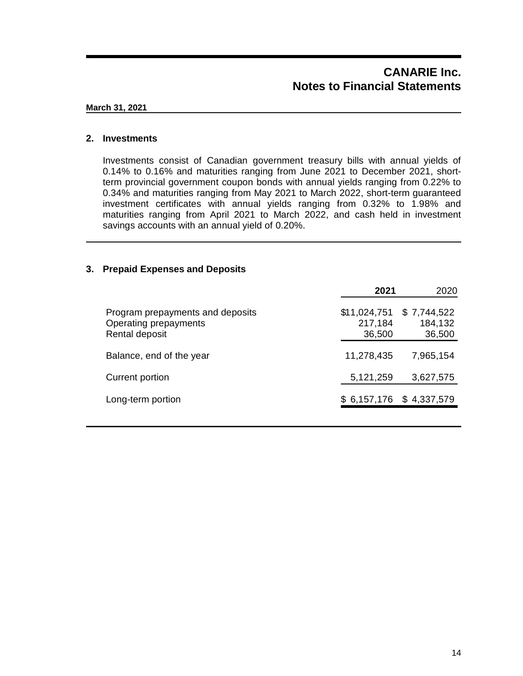# **CANARIE Inc. Notes to Financial Statements**

#### **March 31, 2021**

#### **2. Investments**

Investments consist of Canadian government treasury bills with annual yields of 0.14% to 0.16% and maturities ranging from June 2021 to December 2021, shortterm provincial government coupon bonds with annual yields ranging from 0.22% to 0.34% and maturities ranging from May 2021 to March 2022, short-term guaranteed investment certificates with annual yields ranging from 0.32% to 1.98% and maturities ranging from April 2021 to March 2022, and cash held in investment savings accounts with an annual yield of 0.20%.

#### **3. Prepaid Expenses and Deposits**

|                                                                             | 2021                              | 2020                             |
|-----------------------------------------------------------------------------|-----------------------------------|----------------------------------|
| Program prepayments and deposits<br>Operating prepayments<br>Rental deposit | \$11,024,751<br>217,184<br>36,500 | \$7,744,522<br>184,132<br>36,500 |
| Balance, end of the year                                                    | 11,278,435                        | 7,965,154                        |
| Current portion                                                             | 5,121,259                         | 3,627,575                        |
| Long-term portion                                                           |                                   | $$6,157,176$ $$4,337,579$        |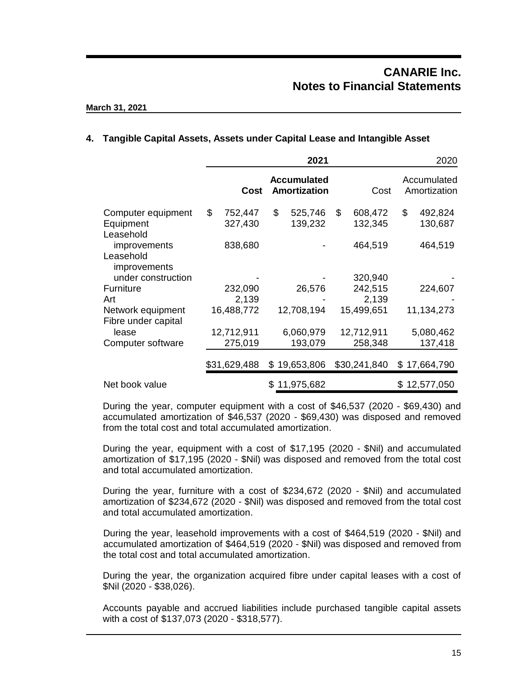# **CANARIE Inc. Notes to Financial Statements**

#### **March 31, 2021**

#### **4. Tangible Capital Assets, Assets under Capital Lease and Intangible Asset**

|                                                                 | 2021                     |                                           |                          | 2020                        |
|-----------------------------------------------------------------|--------------------------|-------------------------------------------|--------------------------|-----------------------------|
|                                                                 | Cost                     | <b>Accumulated</b><br><b>Amortization</b> | Cost                     | Accumulated<br>Amortization |
| Computer equipment<br>Equipment<br>Leasehold                    | \$<br>752,447<br>327,430 | \$<br>525,746<br>139,232                  | \$<br>608,472<br>132,345 | \$<br>492,824<br>130,687    |
| improvements<br>Leasehold<br>improvements<br>under construction | 838,680                  |                                           | 464,519<br>320,940       | 464,519                     |
| Furniture                                                       | 232,090                  | 26,576                                    | 242,515                  | 224,607                     |
| Art                                                             | 2,139                    |                                           | 2,139                    |                             |
| Network equipment<br>Fibre under capital                        | 16,488,772               | 12,708,194                                | 15,499,651               | 11,134,273                  |
| lease                                                           | 12,712,911               | 6,060,979                                 | 12,712,911               | 5,080,462                   |
| Computer software                                               | 275,019                  | 193,079                                   | 258,348                  | 137,418                     |
|                                                                 | \$31,629,488             | \$19,653,806                              | \$30,241,840             | \$17,664,790                |
| Net book value                                                  |                          | 11,975,682<br>SS.                         |                          | \$12,577,050                |

During the year, computer equipment with a cost of \$46,537 (2020 - \$69,430) and accumulated amortization of \$46,537 (2020 - \$69,430) was disposed and removed from the total cost and total accumulated amortization.

During the year, equipment with a cost of \$17,195 (2020 - \$Nil) and accumulated amortization of \$17,195 (2020 - \$Nil) was disposed and removed from the total cost and total accumulated amortization.

During the year, furniture with a cost of \$234,672 (2020 - \$Nil) and accumulated amortization of \$234,672 (2020 - \$Nil) was disposed and removed from the total cost and total accumulated amortization.

During the year, leasehold improvements with a cost of \$464,519 (2020 - \$Nil) and accumulated amortization of \$464,519 (2020 - \$Nil) was disposed and removed from the total cost and total accumulated amortization.

During the year, the organization acquired fibre under capital leases with a cost of \$Nil (2020 - \$38,026).

Accounts payable and accrued liabilities include purchased tangible capital assets with a cost of \$137,073 (2020 - \$318,577).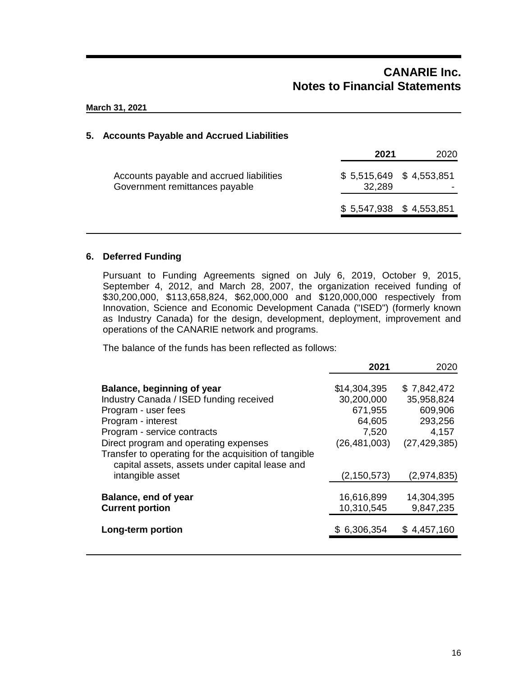# **CANARIE Inc. Notes to Financial Statements**

**March 31, 2021**

#### **5. Accounts Payable and Accrued Liabilities**

|                                                                            | 2021                                | 2020 |
|----------------------------------------------------------------------------|-------------------------------------|------|
| Accounts payable and accrued liabilities<br>Government remittances payable | $$5,515,649$ $$4,553,851$<br>32,289 |      |
|                                                                            | $$5,547,938$ $$4,553,851$           |      |

#### **6. Deferred Funding**

Pursuant to Funding Agreements signed on July 6, 2019, October 9, 2015, September 4, 2012, and March 28, 2007, the organization received funding of \$30,200,000, \$113,658,824, \$62,000,000 and \$120,000,000 respectively from Innovation, Science and Economic Development Canada ("ISED") (formerly known as Industry Canada) for the design, development, deployment, improvement and operations of the CANARIE network and programs.

The balance of the funds has been reflected as follows:

|                                                                                                                                                                                                                                                     | 2021                                                                       | 2020                                                                       |
|-----------------------------------------------------------------------------------------------------------------------------------------------------------------------------------------------------------------------------------------------------|----------------------------------------------------------------------------|----------------------------------------------------------------------------|
| Balance, beginning of year<br>Industry Canada / ISED funding received<br>Program - user fees<br>Program - interest<br>Program - service contracts<br>Direct program and operating expenses<br>Transfer to operating for the acquisition of tangible | \$14,304,395<br>30,200,000<br>671,955<br>64,605<br>7,520<br>(26, 481, 003) | \$7,842,472<br>35,958,824<br>609,906<br>293,256<br>4,157<br>(27, 429, 385) |
| capital assets, assets under capital lease and<br>intangible asset                                                                                                                                                                                  | (2, 150, 573)                                                              | (2,974,835)                                                                |
| Balance, end of year<br><b>Current portion</b>                                                                                                                                                                                                      | 16,616,899<br>10,310,545                                                   | 14,304,395<br>9,847,235                                                    |
| Long-term portion                                                                                                                                                                                                                                   | \$6,306,354                                                                | \$4,457,160                                                                |
|                                                                                                                                                                                                                                                     |                                                                            |                                                                            |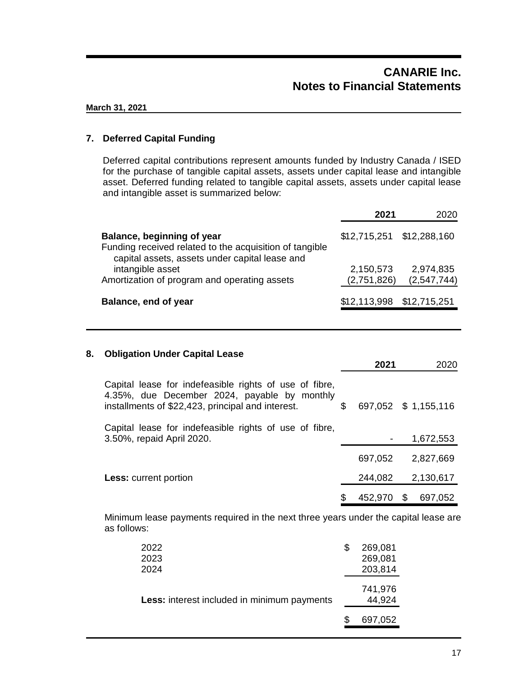## **7. Deferred Capital Funding**

Deferred capital contributions represent amounts funded by Industry Canada / ISED for the purchase of tangible capital assets, assets under capital lease and intangible asset. Deferred funding related to tangible capital assets, assets under capital lease and intangible asset is summarized below:

|                                                                                                                                         | 2021                      | 2020                     |
|-----------------------------------------------------------------------------------------------------------------------------------------|---------------------------|--------------------------|
| Balance, beginning of year<br>Funding received related to the acquisition of tangible<br>capital assets, assets under capital lease and | \$12,715,251 \$12,288,160 |                          |
| intangible asset<br>Amortization of program and operating assets                                                                        | 2,150,573<br>(2,751,826)  | 2,974,835<br>(2,547,744) |
| Balance, end of year                                                                                                                    | \$12,113,998 \$12,715,251 |                          |

## **8. Obligation Under Capital Lease**

|                                                                                                                                                             |    | 2021    |   | 2020                 |
|-------------------------------------------------------------------------------------------------------------------------------------------------------------|----|---------|---|----------------------|
| Capital lease for indefeasible rights of use of fibre,<br>4.35%, due December 2024, payable by monthly<br>installments of \$22,423, principal and interest. | S  |         |   | 697,052 \$ 1,155,116 |
| Capital lease for indefeasible rights of use of fibre,<br>3.50%, repaid April 2020.                                                                         |    |         |   | 1,672,553            |
|                                                                                                                                                             |    | 697,052 |   | 2,827,669            |
| <b>Less:</b> current portion                                                                                                                                |    | 244,082 |   | 2,130,617            |
|                                                                                                                                                             | \$ | 452,970 | S | 697,052              |

Minimum lease payments required in the next three years under the capital lease are as follows:

| 2022<br>2023                                | S | 269,081<br>269,081 |
|---------------------------------------------|---|--------------------|
| 2024                                        |   | 203,814            |
| Less: interest included in minimum payments |   | 741,976<br>44,924  |
|                                             |   | 697,052            |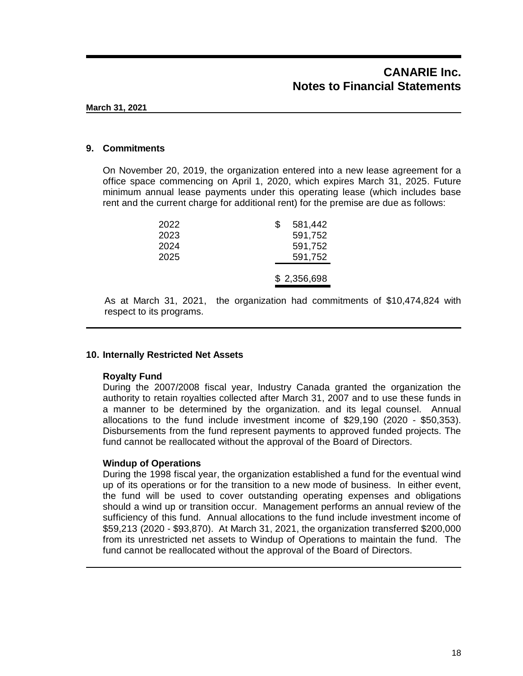#### **9. Commitments**

On November 20, 2019, the organization entered into a new lease agreement for a office space commencing on April 1, 2020, which expires March 31, 2025. Future minimum annual lease payments under this operating lease (which includes base rent and the current charge for additional rent) for the premise are due as follows:

| 2022<br>2023 | 581,442<br>S<br>591,752 |
|--------------|-------------------------|
| 2024         | 591,752                 |
| 2025         | 591,752                 |
|              | \$2,356,698             |

As at March 31, 2021, the organization had commitments of \$10,474,824 with respect to its programs.

#### **10. Internally Restricted Net Assets**

#### **Royalty Fund**

During the 2007/2008 fiscal year, Industry Canada granted the organization the authority to retain royalties collected after March 31, 2007 and to use these funds in a manner to be determined by the organization. and its legal counsel. Annual allocations to the fund include investment income of \$29,190 (2020 - \$50,353). Disbursements from the fund represent payments to approved funded projects. The fund cannot be reallocated without the approval of the Board of Directors.

#### **Windup of Operations**

During the 1998 fiscal year, the organization established a fund for the eventual wind up of its operations or for the transition to a new mode of business. In either event, the fund will be used to cover outstanding operating expenses and obligations should a wind up or transition occur. Management performs an annual review of the sufficiency of this fund. Annual allocations to the fund include investment income of \$59,213 (2020 - \$93,870). At March 31, 2021, the organization transferred \$200,000 from its unrestricted net assets to Windup of Operations to maintain the fund. The fund cannot be reallocated without the approval of the Board of Directors.